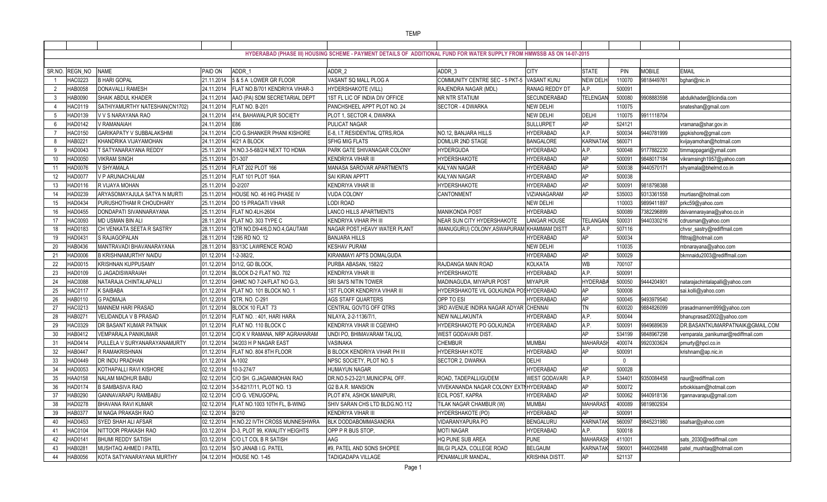SR.NO. REGN\_NO NAME PAID ON ADDR\_1 ADDR\_2 ADDR\_3 CITY STATE PIN MOBILE EMAIL 1 HAC0223 B HARI GOPAL 21.11.2014 5 & 5 A LOWER GR FLOOR VASANT SQ MALL PLOG A COMMUNITY CENTRE SEC - 5 PKT-5 VASANT KUNJ NEW DELHI 110070 9818449761 bghari@nic.in 2 HAB0058 DONAVALLI RAMESH 24.11.2014 FLAT NO.B/701 KENDRIYA VIHAR-3 HYDERSHAKOTE (VILL) RAJENDRA NAGAR (MDL) RANAG REDDY DT A.P. 3 HAB0090 SHAIK ABDUL KHADER 24.11.2014 AAO (PA) SDM SECRETARIAL DEPT 1ST FL LIC OF INDIA DIV OFFICE NR NTR STATIUM SECUNDERABAD TEL 4 HAC0119 SATHIYAMURTHY NATESHAN(CN1702) 24.11.2014 FLAT NO. B-201 PANCHSHEEL APPT PLOT NO. 24 SECTOR - 4 DWARKA NEW DELHI 5 HAD0139 V V S NARAYANA RAO 24.11.2014 414, BAHAWALPUR SOCIETY PLOT 1, SECTOR 4, DWARKA NEW DELHI DELHI 110075 9911118704 6 HAD0142 V RAMANAIAH 24.11.2014 E86 PULICAT NAGAR SULLURPET AP 524121 vramana@shar.gov.in 7 HAC0150 GARIKAPATY V SUBBALAKSHMI 24.11.2014 C/O G.SHANKER PHANI KISHORE E-8, I.T.RESIDENTIAL QTRS,ROA NO.12, BANJARA HILLS HYDERABAD A.P. 500034 9440781999 gspkishore@gmail.com 8 |HAB0221 |KHANDRIKA VIJAYAMOHAN |24.11.2014 |4/21 A BLOCK SFHG MIG FLATS DOMLUR 2ND STAGE BANGALORE KARNATAK| 560071 | kvijayamohan@hotmail.co 9 HAD0043 T SATYANARAYANA REDDY 25.11.2014 H.NO.3-5-68/2/4 NEXT TO HDMA PARK GATE SHIVANAGAR COLONY HYDERGUDA HYDERABAD A.P. 10 HAD0050 VIKRAM SINGH 25.11.2014 D1-307 KENDRIYA VIHAR III HYDERSHAKOTE HYDERABAD AP 500091 9848017184 vikramsingh1957@yahoo.com 11 HAD0076 V SHYAMALA 25.11.2014 FLAT 202 PLOT 166 MANASA SAROVAR APARTMENTS KALYAN NAGAR HYDERABAD AP 500038 9440570171 shyamala@bhelrnd.co.in 12 HAD0077 V P ARUNACHALAM 25.11.2014 FLAT 101 PLOT 164A SAI KIRAN APPTT KALYAN NAGAR HYDERABAD AP 500038 13 HAD0116 R VIJAYA MOHAN 25.11.2014 D-2/207 KENDRIYA VIHAR III HYDERSHAKOTE HYDERABAD AP 500091 9818798388 14 HAD0239 ARYASOMAYAJULA SATYA N MURTI 25.11.2014 HOUSE NO. 46 HIG PHASE IV VUDA COLONY CANTONMENT VIZIANAGARAM AP 535003 9313361558 murtiasn@hotmail.com 15 HAD0434 PURUSHOTHAM R CHOUDHARY 25.11.2014 DO 15 PRAGATI VIHAR LODI ROAD NEW DELHI 110003 9899411897 prkc59@yahoo.com 16 HAD0455 DONDAPATI SIVANNARAYANA 25.11.2014 FLAT NO.4LH-2604 LANCO HILLS APARTMENTS MANIKONDA POST HYDERABAD 500089 7382296899 dsivannarayana@yahoo.co.in 17 HAC0093 MD USMAN BIN ALI 28.11.2014 FLAT NO. 303 TYPE C KENDRIYA VIHAR PH III NEAR SUN CITY HYDERSHAKOTE LANGAR HOUSE TELANGANA 500031 9440330216 cdrusman@yahoo.com 18 HAD0183 CH VENKATA SEETA R SASTRY 28.11.2014 QTR NO.D9-4/6,D.NO.4,GAUTAMI NAGAR POST,HEAVY WATER PLANT (MANUGURU) COLONY.ASWAPURAM KHAMMAM DISTT A.P. 19 HAD0431 S RAJAGOPALAN 28.11.2014 1295 RD NO. 12 BANJARA HILLS HYDERABAD AP 500034 fltltraj@hotmail.com 20 HAB0436 MANTRAVADI BHAVANARAYANA 28.11.2014 B3/13C LAWRENCE ROAD KESHAV PURAM NEW DELHI 110035 mbnarayana@yahoo.com 21 HAD0006 B KRISHNAMURTHY NAIDU 01.12.2014 1-2-382/2, KIRANMAYI APTS DOMALGUDA HYDERABAD AP 500029 bkmnaidu2003@rediffmail.com 22 HAD0015 KRISHNAN KUPPUSAMY 01.12.2014 D/1/2, GD BLOCK, PURBA ABASAN, 1582/2 RAJDANGA MAIN ROAD KOLKATA WB 700107 23 HAD0109 G JAGADISWARAIAH 01.12.2014 BLOCK D-2 FLAT NO. 702 KENDRIYA VIHAR III HYDERSHAKOTE HYDERABAD A.P. 500091 24 HAC0088 NATARAJA CHINTALAPALLI 01.12.2014 GHMC NO 7-24/FLAT NO G-3, SRI SAI'S NITIN TOWER MADINAGUDA, MIYAPUR POST MIYAPUR HYDERABAD 500050 9444204901 natarajachintalapalli@yahoo.com 25 HAC0117 K SAIBABA 01.12.2014 FLAT NO. 101 BLOCK NO. 1 1ST FLOOR KENDRIYA VIHAR III HYDERSHAKOTE VIL GOLKUNDA POSTHYDERABAD AP 500008 sai.kolli@yahoo.com 26 HAB0110 G PADMAJA 01.12.2014 QTR. NO. C-291 AGS STAFF QUARTERS OPP TO ESI HYDERABAD AP 500045 9493979540 27 HAC0213 MANNEM HARI PRASAD 01.12.2014 BLOCK 10 FLAT 73 CENTRAL GOVTG OFF QTRS 3RD AVENUE INDIRA NAGAR ADYAR CHENNAI TN 28 HAB0271 VELIDANDLA V B PRASAD 01.12.2014 FLAT NO. : 401, HARI HARA NILAYA, 2-2-1136/7/1, NEW NALLAKUNTA HYDERABAD A.P. 500044 bhanuprasad2002@yahoo.com 29 |HAC0329 |DR BASANT KUMAR PATNAIK |01.12.2014 |FLAT NO. 110 BLOCK C |KENDRIYA VIHAR III CGEWHO HYDERSHAKOTE PO GOLKUNDA |HYDERABAD |A.P. | 500091 |9949689639 |DR.BASANTKUMARPATNAIK@GMAIL.COM 30 HAB0412 VEMPARALA PANIKUMAR 01.12.2014 C/O K V RAMANA, NRP AGRAHARAM UNDI PO, BHIMAVARAM TALUQ, WEST GODAVARI DIST. 31 HAD0414 PULLELA V SURYANARAYANAMURTY 01.12.2014 34/203 H P NAGAR EAST VASINAKA CHEMBUR CHEMBUR CHEMBUR MUMBAI MAH 32 HAB0447 R RAMAKRISHNAN 01.12.2014 FLAT NO. 804 8TH FLOOR B BLOCK KENDRIYA VIHAR PH III HYDERSHAH KOTE HYDERABAD AP 33 HAD0449 DR INDU PRADHAN 01.12.2014 A-1002 NPSC SOCIETY, PLOT NO. 5 SECTOR 2, DWARKA DELHI 0 34 HAD0053 KOTHAPALLI RAVI KISHORE 02.12.2014 10-3-274/7 HUMAYUN NAGAR HYDERABAD AP 500028 35 HAA0158 NALAM MADHUR BABU 02.12.2014 C/O SH. G.JAGANMOHAN RAO DR.NO.5-23-22/1,MUNICIPAL OFF. ROAD, TADEPALLIGUDEM WEST GODAVARI A.P. 534401 9350084458 naur@rediffmail.com 36 HAD0174 B SAMBASIVA RAO 02.12.2014 3-5-82/17/11, PLOT NO. 13 G2 B.A.R. MANSION VIVEKANANDA NAGAR COLONY EXTNHYDERABAD AP 500072 srbokkisam@hotmail.com 37 HAB0290 GANNAVARAPU RAMBABU 02.12.2014 C/O G. VENUGOPAL PLOT #74, ASHOK MANIPURI, ECIL POST, KAPRA HYDERABAD AP 500062 9440918136 rgannavarapu@gmail.com 38 HAD0278 BHAVANA RAVI KUMAR 02.12.2014 FLAT NO.1003 10TH FL, B-WING SHIV SARAN CHS LTD BLDG.NO.112 TILAK NAGAR CHAMBUR (W) MUMBAI MAHARASTR 400089 9819802934 39 |HAB0377 |M NAGA PRAKASH RAO |02.12.2014 |B/210 |KENDRIYA VIHAR III |HYDERSHAKOTE (PO) |HYDERABAD |AP | 500091 40 HAD0453 SYED SHAH ALI AFSAR 02.12.2014 H.NO.22 IVTH CROSS MUNNESHWRA BLK DODDABOMMASANDRA VIDARANYAPURA PO BENGALURU KARNATAKA 560097 9845231980 ssafsar@yahoo.com 41 HAC0104 NITTOOR PRAKASH RAO 03.12.2014 D-3, PLOT 99, KWALITY HEIGHTS OPP P R BUS STOP, MOTI NAGAR MOTI NAGAR HYDERABAD A.P 42 HAD0141 BHUMI REDDY SATISH 03.12.2014 C/O LT COL B R SATISH AAG HQ PUNE SUB AREA PUNE MAHARASH 411001 sats\_2030@rediffmail.com 43 HAB0281 MUSHTAQ AHMED I PATEL 03.12.2014 S/O JANAB I.G. PATEL #9, PATEL AND SONS SHOPEE BILGI PLAZA, COLLEGE ROAD BELGAUM KARNATAKA 590001 9440028488 patel\_mushtaq@hotmail.com 44 HAB0056 KOTA SATYANARAYANA MURTHY 04.12.2014 HOUSE NO. 1-45 TADIGADAPA VILLAGE PENAMALUR MANDAL, KRISHNA DISTT. AP **HYDERABAD (PHASE III) HOUSING SCHEME - PAYMENT DETAILS OF ADDITIONAL FUND FOR WATER SUPPLY FROM HMWSSB AS ON 14-07-2015**

| TE            | PIN    | <b>MOBILE</b> | <b>EMAIL</b>                       |
|---------------|--------|---------------|------------------------------------|
| V DELH        | 110070 | 9818449761    | bghari@nic.in                      |
|               | 500091 |               |                                    |
| ENGAN         | 500080 | 9908883598    | abdulkhader@licindia.com           |
|               | 110075 |               | snateshan@gmail.com                |
| HI            | 110075 | 9911118704    |                                    |
|               | 524121 |               | vramana@shar.gov.in                |
|               | 500034 | 9440781999    | gspkishore@gmail.com               |
| <b>NATAK</b>  | 560071 |               | kvijayamohan@hotmail.com           |
|               | 500048 | 9177882230    | timmappagari@ymail.com             |
|               | 500091 | 9848017184    | vikramsingh1957@yahoo.com          |
|               | 500038 | 9440570171    | shyamala@bhelrnd.co.in             |
|               | 500038 |               |                                    |
|               | 500091 | 9818798388    |                                    |
|               | 535003 | 9313361558    | murtiasn@hotmail.com               |
|               | 110003 | 9899411897    | prkc59@yahoo.com                   |
|               | 500089 | 7382296899    | dsivannarayana@yahoo.co.in         |
| ANGAN         | 500031 | 9440330216    | cdrusman@yahoo.com                 |
|               | 507116 |               | chvsr_sastry@rediffmail.com        |
|               | 500034 |               | fltltraj@hotmail.com               |
|               | 110035 |               | mbnarayana@yahoo.com               |
|               | 500029 |               | bkmnaidu2003@rediffmail.com        |
|               | 700107 |               |                                    |
|               | 500091 |               |                                    |
| <b>ERABA</b>  | 500050 | 9444204901    | natarajachintalapalli@yahoo.com    |
|               | 500008 |               | sai.kolli@yahoo.com                |
|               | 500045 | 9493979540    |                                    |
|               | 600020 | 9884826099    | prasadmannem999@yahoo.com          |
|               | 500044 |               | bhanuprasad2002@yahoo.com          |
|               | 500091 | 9949689639    | DR.BASANTKUMARPATNAIK@GMAIL.COM    |
|               | 534199 | 9848967298    | vemparala_panikumar@rediffmail.com |
| <b>IARASH</b> | 400074 | 9920303624    | pmurty@hpcl.co.in                  |
|               | 500091 |               | krishnam@ap.nic.in                 |
|               | 0      |               |                                    |
|               | 500028 |               |                                    |
|               | 534401 | 9350084458    | naur@rediffmail.com                |
|               | 500072 |               | srbokkisam@hotmail.com             |
|               | 500062 | 9440918136    | rgannavarapu@gmail.com             |
| <b>IARAST</b> | 400089 | 9819802934    |                                    |
|               | 500091 |               |                                    |
| <b>NATAK</b>  | 560097 | 9845231980    | ssafsar@yahoo.com                  |
|               | 500018 |               |                                    |
| <b>IARAS</b>  | 411001 |               | sats_2030@rediffmail.com           |
| <b>NATAK</b>  | 590001 | 9440028488    | patel_mushtaq@hotmail.com          |
|               | 521137 |               |                                    |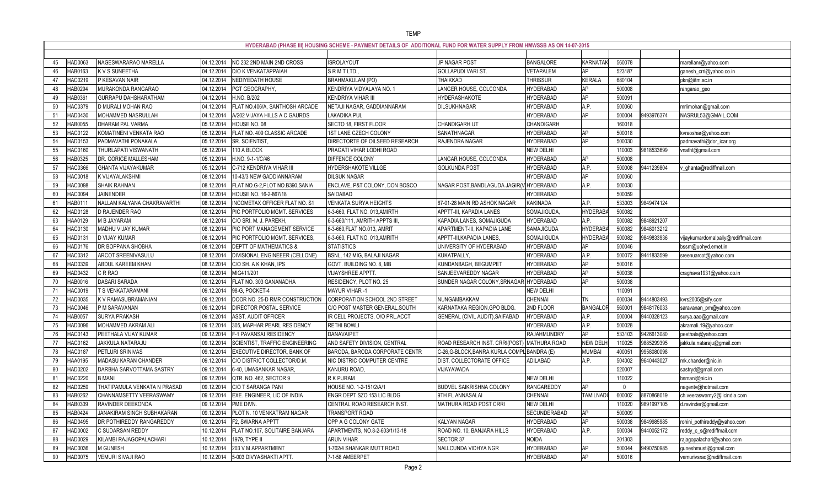|    |                     |                              |            |                                     | HYDERABAD (PHASE III) HOUSING SCHEME - PAYMENT DETAILS OF ADDITIONAL FUND FOR WATER SUPPLY FROM HMWSSB AS ON 14-07-2015 |                                             |                  |                 |          |            |                                     |
|----|---------------------|------------------------------|------------|-------------------------------------|-------------------------------------------------------------------------------------------------------------------------|---------------------------------------------|------------------|-----------------|----------|------------|-------------------------------------|
|    | HAD006              | NAGESWARARAO MARELLA         | 04.12.2014 | NO 232 2ND MAIN 2ND CROSS           | <b>ISROLAYOUT</b>                                                                                                       | JP NAGAR POST                               | <b>BANGALORE</b> | KARNATAK        | 560078   |            | marellanr@yahoo.com                 |
|    | HAB0163             | K V S SUNEETHA               | 04.12.2014 | D/O K VENKATAPPAIAH                 | SRMTLTD.                                                                                                                | GOLLAPUDI VARI ST                           | VETAPALEM        | AP              | 523187   |            | ganesh_crri@yahoo.co.in             |
|    | HAC0219             | P KESAVAN NAIR               | 04.12.2014 | NEDIYEDATH HOUSE                    | BRAHMAKULAM (PO)                                                                                                        | THAIKKAD                                    | <b>THRISSUR</b>  | KERALA          | 680104   |            | pkn@iitm.ac.in                      |
|    | HAB0294             | MURAKONDA RANGARAO           | 04.12.2014 | PGT GEOGRAPHY,                      | KENDRIYA VIDYALAYA NO. 1                                                                                                | LANGER HOUSE, GOLCONDA                      | <b>HYDERABAD</b> | AP              | 500008   |            | rangarao_geo                        |
| 49 | HAB036 <sup>-</sup> | GURRAPU DAHSHARATHAM         | 04.12.2014 | H.NO. B/202                         | <b>KENDRIYA VIHAR III</b>                                                                                               | HYDERASHAKOTE                               | <b>IYDERABAD</b> | AP              | 500091   |            |                                     |
| 50 | <b>HAC0379</b>      | D MURALI MOHAN RAO           | 04.12.2014 | FLAT NO.406/A, SANTHOSH ARCADE      | NETAJI NAGAR, GADDIANNARAM                                                                                              | DILSUKHNAGAR                                | <b>HYDERABAD</b> | A.P.            | 500060   |            | mrlimohan@gmail.com                 |
| 51 | HAD0430             | MOHAMMED NASRULLAH           | 04.12.2014 | A/202 VIJAYA HILLS A C GAURDS       | LAKADIKA PUL                                                                                                            |                                             | <b>IYDERABAD</b> | AP              | 500004   | 9493976374 | NASRUL53@GMAIL.COM                  |
| 52 | <b>IAB0055</b>      | DHARAM PAL VARMA             | 05.12.2014 | HOUSE NO. 08                        | SECTO 18, FIRST FLOOR                                                                                                   | CHANDIGARH UT                               | CHANDIGARH       |                 | 160018   |            |                                     |
| 53 | HAC0122             | KOMATINENI VENKATA RAO       | 05.12.2014 | FLAT NO. 409 CLASSIC ARCADE         | 1ST LANE CZECH COLONY                                                                                                   | SANATHNAGAR                                 | <b>HYDERABAD</b> | AP              | 500018   |            | kvraoshar@yahoo.com                 |
| 54 | HAD0153             | PADMAVATHI PONAKALA          | 05.12.2014 | <b>SR. SCIENTIST</b>                | DIRECTORTE OF OILSEED RESEARCH                                                                                          | RAJENDRA NAGAR                              | <b>HYDERABAD</b> | AP              | 500030   |            | padmavathi@dor_icar.org             |
| 55 | <b>IAC0160</b>      | THURLAPATI VISWANATH         | 05.12.2014 | 110 A BLOCK                         | PRAGATI VIHAR LODHI ROAD                                                                                                |                                             | <b>NEW DELHI</b> |                 | 110003   | 9818533699 | vnatht@gmail.com                    |
| 56 | HAB0325             | DR. GORIGE MALLESHAM         | 05.12.2014 | H.NO. 9-1-1/C/46                    | DIFFENCE COLONY                                                                                                         | LANGAR HOUSE, GOLCONDA                      | <b>HYDERABAD</b> | AP              | 500008   |            |                                     |
| 57 | HAC0366             | <b>GHANTA VIJAYAKUMAR</b>    | 05.12.2014 | C-712 KENDRIYA VIHAR III            | HYDERSHAKOTE VILLGE                                                                                                     | <b>GOLKUNDA POST</b>                        | <b>HYDERABAD</b> | A.P.            | 500008   | 9441239804 | ghanta@rediffmail.com               |
| 58 | HAC0018             | K VIJAYALAKSHMI              | 08.12.2014 | 10-43/3 NEW GADDIANNARAM            | <b>DILSUK NAGAR</b>                                                                                                     |                                             | <b>HYDERABAD</b> | <b>AP</b>       | 500060   |            |                                     |
| 59 | <b>IAC0098</b>      | SHAIK RAHMAN                 | 08.12.2014 | FLAT NO.G-2, PLOT NO.B390, SANIA    | ENCLAVE, P&T COLONY, DON BOSCO                                                                                          | NAGAR POST, BANDLAGUDA JAGIR (V HYDERABAD   |                  | A.P.            | 500030   |            |                                     |
| 60 | <b>IAC0094</b>      | <b>JAINENDER</b>             | 08.12.2014 | HOUSE NO. 16-2-867/18               | SAIDABAD                                                                                                                |                                             | <b>IYDERABAD</b> |                 | 500059   |            |                                     |
| 61 | HAB011              | NALLAM KALYANA CHAKRAVARTHI  | 08.12.2014 | INCOMETAX OFFICER FLAT NO. S1       | <b>VENKATA SURYA HEIGHTS</b>                                                                                            | 67-01-28 MAIN RD ASHOK NAGAR                | <b>KAKINADA</b>  | A.P.            | 533003   | 9849474124 |                                     |
| 62 | HAD0128             | D RAJENDER RAO               | 08.12.2014 | PIC PORTFOLIO MGMT. SERVICES        | 6-3-660, FLAT NO. 013, AMIRTH                                                                                           | APPTT-III, KAPADIA LANES                    | SOMAJIGUDA       | <b>HYDERAB</b>  | 500082   |            |                                     |
| 63 | HAA0129             | M B JAYARAM                  | 08.12.2014 | C/O SRI. M. J. PAREKH,              | 6-3-660/111, AMRITH APPTS III                                                                                           | KAPADIA LANES, SOMAJIGUDA                   | <b>HYDERABAD</b> | A.P.            | 500082   | 9848921207 |                                     |
|    | IAC0130             | MADHU VIJAY KUMAR            | 08.12.2014 | PIC PORT MANAGEMENT SERVICE         | 6-3-660, FLAT NO.013, AMRIT                                                                                             | APARTMENT-III, KAPADIA LANE                 | SAMAJIGUDA       | <b>HYDERAB</b>  | 500082   | 9848013212 |                                     |
| 65 | HAD013 <sup>®</sup> | D VIJAY KUMAR                | 08.12.2014 | PIC PORTFOLIO MGMT. SERVICES        | 6-3-660, FLAT NO. 013, AMRITH                                                                                           | APPTT-III, KAPADIA LANES,                   | SOMAJIGUDA       | <b>HYDERAB</b>  | 500082   | 9849833936 | vijaykumardomalpally@rediffmail.com |
| 66 | HAD0176             | DR BOPPANA SHOBHA            | 08.12.2014 | <b>DEPTT OF MATHEMATICS &amp;</b>   | <b>STATISTICS</b>                                                                                                       | UNIVERSITY OF HYDERABAD                     | <b>HYDERABAD</b> | AP              | 500046   |            | bssm@uohyd.ernet.in                 |
| 67 | <b>HAC0312</b>      | ARCOT SREENIVASULU           | 08.12.2014 | DIVISIONAL ENGINEEER (CELLONE)      | BSNL, 142 MIG, BALAJI NAGAR                                                                                             | KUKATPALLY,                                 | <b>IYDERABAD</b> | A.P.            | 500072   | 9441833599 | sreenuarcot@yahoo.com               |
| 68 | HAD0339             | ABDUL KAREEM KHAN            | 08.12.2014 | C/O SH. A K KHAN, IPS               | GOVT. BUILDING NO. 8, MB                                                                                                | KUNDANBAGH, BEGUMPET                        | <b>HYDERABAD</b> | <b>AP</b>       | 500016   |            |                                     |
| 69 | HAD0432             | C R RAO                      | 08.12.2014 | MIG411/201                          | <b>VIJAYSHREE APPTT.</b>                                                                                                | SANJEEVAREDDY NAGAR                         | <b>IYDERABAD</b> | <b>AP</b>       | 500038   |            | craghava1931@yahoo.co.in            |
|    | HAB0016             | DASARI SARADA                | 09.12.2014 | FLAT NO. 303 GANANADHA              | RESIDENCY, PLOT NO. 25                                                                                                  | SUNDER NAGAR COLONY, SRNAGAR HYDERABAD      |                  | AP              | 500038   |            |                                     |
| 71 | HAC0019             | T S VENKATARAMANI            | 09.12.2014 | 98-G, POCKET-4                      | <b>MAYUR VIHAR -1</b>                                                                                                   |                                             | <b>NEW DELHI</b> |                 | 110091   |            |                                     |
| 72 | <b>IAD0035</b>      | K V RAMASUBRAMANIAN          | 09.12.2014 | DOOR NO. 25-D RMR CONSTRUCTION      | CORPORATION SCHOOL 2ND STREET                                                                                           | NUNGAMBAKKAM                                | CHENNAI          | <b>TN</b>       | 600034   | 9444803493 | kvrs2005@sify.com                   |
| 73 | IAC0046             | P M SARAVANAN                | 09.12.2014 | <b>DIRECTOR POSTAL SERVICE</b>      | O/O POST MASTER GENERAL, SOUTH                                                                                          | KARNATAKA REGION, GPO BLDG                  | 2ND FLOOR        | BANGALOR        | 560001   | 9848176033 | saravanan_pm@yahoo.com              |
|    | IAB0057             | SURYA PRAKASH                | 09.12.2014 | ASST. AUDIT OFFICER                 | IR CELL PROJECTS, O/O PRL.ACCT                                                                                          | GENERAL (CIVIL AUDIT), SAIFABAD             | <b>HYDERABAD</b> | A.P.            | 500004   | 9440328123 | surya.aao@gmail.com                 |
| 75 | HAD0096             | MOHAMMED AKRAM ALI           | 09.12.2014 | 305, MAPHAR PEARL RESIDENCY         | <b>RETHI BOWLI</b>                                                                                                      |                                             | <b>IYDERABAD</b> | A.P.            | 500028   |            | akramali.19@yahoo.com               |
| 76 | <b>HAC0143</b>      | PEETHALA VIJAY KUMAR         |            | 09.12.2014   F-1 PAVANSAI RESIDENCY | <b>DANAVAIPET</b>                                                                                                       |                                             | RAJAHMUNDRY      | <b>AD</b>       | 533103   | 9426613080 | peethala@yahoo.com                  |
| 77 | HAC0162             | JAKKULA NATARAJU             | 09.12.2014 | SCIENTIST, TRAFFIC ENGINEERING      | AND SAFETY DIVISION, CENTRAL                                                                                            | ROAD RESEARCH INST. CRRI(POST) MATHURA ROAD |                  | <b>NEW DELH</b> | 110025   | 9885299395 | jakkula.nataraju@gmail.com          |
| 78 | <b>HAC0187</b>      | PETLURI SRINIVAS             | 09.12.2014 | <b>EXECUTIVE DIRECTOR, BANK OF</b>  | BARODA, BARODA CORPORATE CENTR                                                                                          | C-26, G-BLOCK, BANRA KURLA COMPL BANDRA (E) |                  | <b>MUMBAI</b>   | 400051   | 9958080098 |                                     |
| 79 | HAA0195             | MADASU KARAN CHANDER         | 09.12.2014 | C/O DISTRICT COLLECTOR/D.M.         | NIC DISTRIC COMPUTER CENTRE                                                                                             | DIST. COLLECTORATE OFFICE                   | ADILABAD         | A.P.            | 504002   | 9640443027 | mk.chander@nic.in                   |
| 80 | HAD0202             | DARBHA SARVOTTAMA SASTRY     | 09.12.2014 | 6-40, UMASANKAR NAGAR,              | KANURU ROAD,                                                                                                            | VIJAYAWADA                                  |                  |                 | 520007   |            | sastryd@gmail.com                   |
| 81 | HAC0220             | <b>B MANI</b>                | 09.12.2014 | QTR. NO. 462, SECTOR 9              | R K PURAM                                                                                                               |                                             | <b>NEW DELHI</b> |                 | 110022   |            | bsmani@nic.in                       |
| 82 | HAD0259             | THATIPAMULA VENKATA N PRASAD | 09.12.2014 | C/O T SARANGA PANI                  | HOUSE NO. 1-2-151/2/A/1                                                                                                 | <b>BUDVEL SAIKRISHNA COLONY</b>             | RANGAREDDY       | AP              | $\Omega$ |            | nagentv@hotmail.com                 |
| 83 | HAB0262             | CHANNAMSETTY VEERASWAMY      | 09.12.2014 | EXE. ENGINEER, LIC OF INDIA         | ENGR DEPT SZO 153 LIC BLDG                                                                                              | 9TH FL ANNASALAI                            | <b>CHENNAI</b>   | <b>TAMILNAD</b> | 600002   | 8870868019 | ch.veeraswamy2@licindia.com         |
| 84 | HAB0309             | RAVINDER DEEKONDA            | 09.12.2014 | PME DIVN.                           | CENTRAL ROAD RESEARCH INST                                                                                              | MATHURA ROAD POST CRRI                      | <b>NEW DELHI</b> |                 | 110020   | 9891997105 | d.ravinder@gmail.com                |
| 85 | HAB0424             | JANAKIRAM SINGH SUBHAKARAN   | 09.12.2014 | PLOT N. 10 VENKATRAM NAGAR          | TRANSPORT ROAD                                                                                                          |                                             | SECUNDERABAD     | AP              | 500009   |            |                                     |
| 86 | HAD0495             | DR POTHIREDDY RANGAREDDY     | 09.12.2014 | F2, SWARNA APPTT                    | OPP A G COLONY GATE                                                                                                     | KALYAN NAGAR                                | <b>HYDERABAD</b> | <b>AP</b>       | 500038   | 9849985985 | rohini_pothireddy@yahoo.com         |
| 87 | HAD0002             | C SUDARSAN REDDY             | 10.12.2014 | FLAT NO.107, SOLITAIRE BANJARA      | APARTMENTS, NO.8-2-603/1/13-18                                                                                          | ROAD NO. 10, BANJARA HILLS                  | <b>HYDERABAD</b> | A.P.            | 500034   | 9440052172 | reddy_c_s@rediffmail.com            |
| 88 | HAD0029             | KILAMBI RAJAGOPALACHARI      | 10.12.2014 | 1979, TYPE II                       | ARUN VIHAR                                                                                                              | SECTOR 37                                   | <b>NOIDA</b>     |                 | 201303   |            | rajagopalachari@yahoo.com           |
| 89 | HAC0036             | M GUNESH                     | 10.12.2014 | 203 V M APPARTMENT                  | 1-702/4 SHANKAR MUTT ROAD                                                                                               | NALLCUNDA VIDHYA NGR                        | <b>IYDERABAD</b> | <b>AP</b>       | 500044   | 9490750985 | guneshmusti@gmail.com               |
| 90 | <b>HAD0075</b>      | VEMURI SIVAJI RAO            | 10.12.2014 | 5-003 DIVYASHAKTI APTT              | 7-1-58 AMEERPET                                                                                                         |                                             | <b>HYDERABAD</b> | AP              | 500016   |            | vemurivsrao@rediffmail.com          |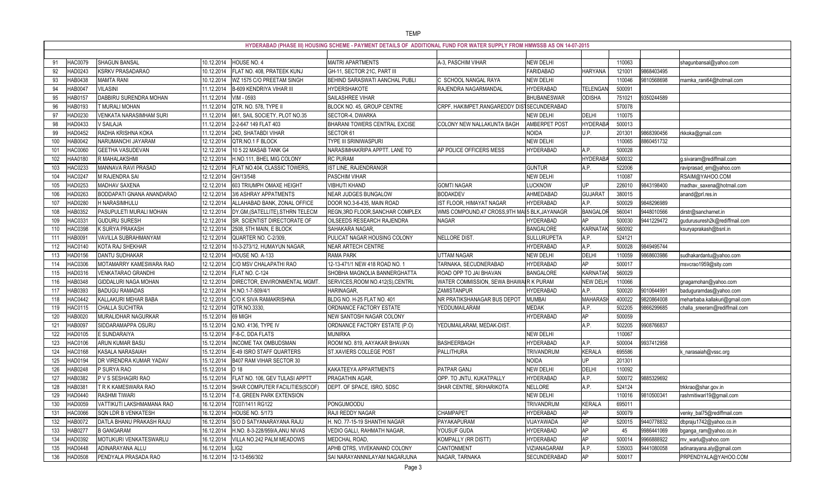|          | HYDERABAD (PHASE III) HOUSING SCHEME - PAYMENT DETAILS OF ADDITIONAL FUND FOR WATER SUPPLY FROM HMWSSB AS ON 14-07-2015 |                             |                                                         |                                                         |                                                 |                    |                 |        |            |                               |
|----------|-------------------------------------------------------------------------------------------------------------------------|-----------------------------|---------------------------------------------------------|---------------------------------------------------------|-------------------------------------------------|--------------------|-----------------|--------|------------|-------------------------------|
|          | HAC0079                                                                                                                 | <b>SHAGUN BANSAL</b>        | 10.12.2014                                              |                                                         |                                                 | <b>NEW DELHI</b>   |                 | 110063 |            |                               |
|          | HAD0243                                                                                                                 | <b>KSRKV PRASADARAO</b>     | HOUSE NO. 4<br>FLAT NO. 408, PRATEEK KUNJ<br>10.12.2014 | <b>MAITRI APARTMENTS</b><br>GH-11, SECTOR 21C, PART III | A-3, PASCHIM VIHAR                              | <b>FARIDABAD</b>   | <b>HARYANA</b>  | 121001 | 9868403495 | shagunbansal@yahoo.com        |
| 92<br>93 | HAB0438                                                                                                                 | <b>MAMTA RANI</b>           | 10.12.2014<br>WZ 1575 C/O PREETAM SINGH                 | <b>BEHIND SARASWATI AANCHAL PUBLI</b>                   | C SCHOOL NANGAL RAYA                            | <b>NEW DELHI</b>   |                 | 110046 | 9810568698 | mamka_rani64@hotmail.com      |
| 94       | HAB004                                                                                                                  | <b>VILASINI</b>             | <b>B-609 KENDRIYA VIHAR III</b><br>11.12.2014           | <b>HYDERSHAKOTE</b>                                     | RAJENDRA NAGARMANDAL                            | <b>HYDERABAD</b>   | <b>TELENGAM</b> | 500091 |            |                               |
| 95       | HAB0157                                                                                                                 | DABBIRU SURENDRA MOHAN      | 11.12.2014<br>VIM - 0593                                | SAILASHREE VIHAR                                        |                                                 | <b>BHUBANESWAR</b> | <b>ODISHA</b>   | 751021 | 9350244589 |                               |
| 96       | HAB0193                                                                                                                 | T MURALI MOHAN              | QTR. NO. 578, TYPE II<br>11.12.2014                     | BLOCK NO. 45, GROUP CENTRE                              | CRPF, HAKIMPET, RANGAREDDY DISTSECUNDERABAD     |                    |                 | 570078 |            |                               |
| 97       | HAD0230                                                                                                                 | VENKATA NARASIMHAM SURI     | 661, SAIL SOCIETY, PLOT NO.35<br>11.12.2014             | SECTOR-4, DWARKA                                        |                                                 | <b>NEW DELHI</b>   | DELHI           | 110075 |            |                               |
| 98       | HAD0433                                                                                                                 | V SAILAJA                   | 2-2-647 149 FLAT 403<br>11.12.2014                      | BHARANI TOWERS CENTRAL EXCISE                           | <b>COLONY NEW NALLAKUNTA BAGH</b>               | AMBERPET POST      | <b>HYDERAB</b>  | 500013 |            |                               |
| 99       | <b>IAD0452</b>                                                                                                          | RADHA KRISHNA KOKA          | 11.12.2014<br>24D, SHATABDI VIHAR                       | SECTOR 61                                               |                                                 | <b>NOIDA</b>       | U.P.            | 201301 | 9868390456 | rkkoka@gmail.com              |
| 100      | HAB0042                                                                                                                 | NARUMANCHI JAYARAM          | 12.12.2014<br>QTR.NO.1 F BLOCK                          | TYPE III SRINIWASPURI                                   |                                                 | <b>NEW DELHI</b>   |                 | 110065 | 8860451732 |                               |
| 101      | <b>IAC0060</b>                                                                                                          | GEETHA VASUDEVAN            | 12.12.2014<br>10 5 22 MASAB TANK G4                     | NARASIMHAKRIPA APPTT. LANE TO                           | AP POLICE OFFICERS MESS                         | <b>IYDERABAD</b>   | A.P.            | 500028 |            |                               |
| 102      | HAA0180                                                                                                                 | R MAHALAKSHMI               | 12.12.2014<br>H.NO.111, BHEL MIG COLONY                 | <b>RC PURAM</b>                                         |                                                 |                    | <b>HYDERAB</b>  | 500032 |            | g.sivaram@rediffmail.com      |
| 103      | <b>IAC0233</b>                                                                                                          | MANNAVA RAVI PRASAD         | FLAT NO.404, CLASSIC TOWERS,<br>12.12.2014              | IST LINE, RAJENDRANGR                                   |                                                 | <b>GUNTUR</b>      | A.P.            | 522006 |            | raviprasad_em@yahoo.com       |
| 104      | <b>IAC024</b>                                                                                                           | <b>M RAJENDRA SAI</b>       | 12.12.2014<br>GH/13/548                                 | PASCHIM VIHAR                                           |                                                 | <b>NEW DELHI</b>   |                 | 110087 |            | RSAIM@YAHOO.COM               |
| 105      | <b>IAD0253</b>                                                                                                          | <b>MADHAV SAXENA</b>        | 12.12.2014<br>603 TRIUMPH OMAXE HEIGHT                  | <b>VIBHUTI KHAND</b>                                    | <b>GOMTI NAGAR</b>                              | LUCKNOW            | UP              | 226010 | 9843198400 | madhav_saxena@hotmail.com     |
| 106      | HAD0263                                                                                                                 | BODDAPATI GNANA ANANDARAO   | 12.12.2014<br>3/6 ASHRAY APPATMENTS                     | <b>NEAR JUDGES BUNGALOW</b>                             | <b>BODAKDEV</b>                                 | AHMEDABAD          | <b>GUJARA1</b>  | 380015 |            | anand@prl.res.in              |
| 107      | HAD0280                                                                                                                 | H NARASIMHULU               | 12.12.2014<br>ALLAHABAD BANK, ZONAL OFFICE              | DOOR NO.3-6-435, MAIN ROAD                              | IST FLOOR, HIMAYAT NAGAR                        | <b>HYDERABAD</b>   | A.P.            | 500029 | 9848296989 |                               |
| 108      | <b>IAB0352</b>                                                                                                          | PASUPULETI MURALI MOHAN     | 12.12.2014<br>DY.GM, (SATELLITE), STHRN TELECM          | REGN, 3RD FLOOR, SANCHAR COMPLEX                        | WMS COMPOUND, 47 CROSS, 9TH MAI 5 BLK, JAYANAGR |                    | <b>BANGALO</b>  | 560041 | 9448010566 | dirstr@sancharnet.in          |
| 109      | HAC033                                                                                                                  | <b>GUDURU SURESH</b>        | SR. SCIENTIST DIRECTORATE OF<br>12.12.2014              | <b>OILSEEDS RESEARCH RAJENDRA</b>                       | <b>NAGAR</b>                                    | <b>HYDERABAD</b>   | AP              | 500030 | 9441229472 | gudurusuresh2k@rediffmail.com |
| 110      | <b>IAC0398</b>                                                                                                          | K SURYA PRAKASH             | 12.12.2014<br>2508, 5TH MAIN, E BLOCK                   | SAHAKARA NAGAR,                                         |                                                 | <b>BANGALORE</b>   | KARNATA         | 560092 |            | ksuryaprakash@bsnl.in         |
| 111      | HAB009                                                                                                                  | VAVILLA SUBRAHMANYAM        | 12.12.2014<br>QUARTER NO. C-2/309                       | PULICAT NAGAR HOUSING COLONY                            | <b>NELLORE DIST</b>                             | SULLURUPETA        | A.P.            | 524121 |            |                               |
| 112      | HAC0140                                                                                                                 | KOTA RAJ SHEKHAR            | 12.12.2014<br>10-3-273/12, HUMAYUN NAGAR,               | <b>NEAR ARTECH CENTRE</b>                               |                                                 | <b>HYDERABAD</b>   | A.P.            | 500028 | 9849495744 |                               |
| 113      | HAD0156                                                                                                                 | <b>DANTU SUDHAKAR</b>       | 12.12.2014<br>HOUSE NO. A-133                           | <b>RAMA PARK</b>                                        | <b>UTTAM NAGAR</b>                              | <b>NEW DELHI</b>   | DELHI           | 110059 | 9868603986 | sudhakardantu@yahoo.com       |
| 114      | <b>IAC0306</b>                                                                                                          | MOTAMARRY KAMESWARA RAO     | 12.12.2014<br>C/O MSV CHALAPATHI RAO                    | 12-13-471/1 NEW 418 ROAD NO.                            | TARNAKA, SECUDNERABAD                           | <b>HYDERABAD</b>   | AP              | 500017 |            | msvcrao1959@sity.com          |
| 115      | HAD0316                                                                                                                 | VENKATARAO GRANDHI          | 12.12.2014<br>FLAT NO. C-124                            | SHOBHA MAGNOLIA BANNERGHATTA                            | ROAD OPP TO JAI BHAVAN                          | <b>BANGALORE</b>   | <b>KARNATA</b>  | 560029 |            |                               |
| 116      | HAB0348                                                                                                                 | <b>GIDDALURI NAGA MOHAN</b> | DIRECTOR, ENVIRONMENTAL MGMT<br>12.12.2014              | SERVICES, ROOM NO.412(S), CENTRL                        | WATER COMMISSION, SEWA BHAWAIR K PURAM          |                    | <b>NEW DELI</b> | 110066 |            | gnagamohan@yahoo.com          |
| 117      | HAB0393                                                                                                                 | <b>BADUGU RAMADAS</b>       | H.NO.1-7-509/4/1<br>12.12.2014                          | HARINAGAR,                                              | ZAMISTANPUR                                     | <b>HYDERABAD</b>   | A.P.            | 500020 | 9010644991 | baduguramdas@yahoo.com        |
| 118      | HAC0442                                                                                                                 | KALLAKURI MEHAR BABA        | 12.12.2014<br>C/O K SIVA RAMAKRISHNA                    | BLDG NO. H-25 FLAT NO. 401                              | NR PRATIKSHANAGAR BUS DEPOT                     | <b>MUMBAI</b>      | MAHARASI        | 400022 | 9820864008 | meharbaba.kallakuri@gmail.com |
| 119      | <b>IAC0115</b>                                                                                                          | CHALLA SUCHITRA             | 12.12.2014<br>QTR.NO.3330,                              | ORDNANCE FACTORY ESTATE                                 | YEDDUMAILARAM                                   | <b>MEDAK</b>       | A.P.            | 502205 | 9866299685 | challa_sreeram@rediffmail.com |
| 120      | HAB0020                                                                                                                 | MURALIDHAR NAGURKAR         | 15.12.2014<br>69 MIGH                                   | NEW SANTOSH NAGAR COLONY                                |                                                 | <b>HYDERABAD</b>   | AP              | 500059 |            |                               |
| 121      | HAB0097                                                                                                                 | SIDDARAMAPPA OSURU          | 15.12.2014<br>Q.NO. 4136, TYPE IV                       | ORDNANCE FACTORY ESTATE (P.O)                           | YEDUMAILARAM, MEDAK-DIST                        |                    | A.P.            | 502205 | 9908766837 |                               |
| 122      | <b>HAD0105</b>                                                                                                          | E SUNDARAIYA                | 15.12.2014    F-8-C, DDA FLATS                          | <b>MUNIRKA</b>                                          |                                                 | <b>NEW DELHI</b>   |                 | 110067 |            |                               |
| 123      | HAC0106                                                                                                                 | ARUN KUMAR BASU             | 15.12.2014<br><b>INCOME TAX OMBUDSMAN</b>               | ROOM NO. 819, AAYAKAR BHAVAN                            | BASHEERBAGH                                     | <b>HYDERABAD</b>   | A.P.            | 500004 | 9937412958 |                               |
| 124      | HAC0168                                                                                                                 | KASALA NARASAIAH            | 15.12.2014<br>E-49 ISRO STAFF QUARTERS                  | <b>ST.XAVIERS COLLEGE POST</b>                          | PALLITHURA                                      | TRIVANDRUM         | KERALA          | 695586 |            | k_narasaiah@vssc.org          |
| 125      | HAD0194                                                                                                                 | DR VIRENDRA KUMAR YADAV     | B407 RAM VIHAR SECTOR 30<br>15.12.2014                  |                                                         |                                                 | <b>NOIDA</b>       | UP              | 201301 |            |                               |
| 126      | HAB0248                                                                                                                 | P SURYA RAO                 | 15.12.2014<br>$D_18$                                    | KAKATEEYA APPARTMENTS                                   | PATPAR GANJ                                     | NEW DELHI          | DELHI           | 110092 |            |                               |
| 127      | HAB0382                                                                                                                 | P V S SESHAGIRI RAO         | FLAT NO. 106, GEV TULASI APPTT<br>15.12.2014            | PRAGATHIN AGAR,                                         | OPP. TO JNTU, KUKATPALLY                        | <b>HYDERABAD</b>   | A.P.            | 500072 | 9885329692 |                               |
| 128      | HAB038                                                                                                                  | T R K KAMESWARA RAO         | 15.12.2014<br>SHAR COMPUTER FACILITIES(SCOF)            | DEPT. OF SPACE, ISRO, SDSC                              | SHAR CENTRE, SRIHARIKOTA                        | NELLORE            | A.P.            | 524124 |            | trkkrao@shar.gov.in           |
| 129      | HAD0440                                                                                                                 | <b>RASHMI TIWARI</b>        | 15.12.2014<br>T-8, GREEN PARK EXTENSION                 |                                                         |                                                 | <b>NEW DELHI</b>   |                 | 110016 | 9810500341 | rashmitiwari19@gmail.com      |
| 130      | HAD0059                                                                                                                 | VATTIKUTI LAKSHMAMANA RAO   | 16.12.2014<br>TC07/1411 RG122                           | PONGUMOODU                                              |                                                 | TRIVANDRUM         | KERALA          | 695011 |            |                               |
| 131      | HAC0066                                                                                                                 | <b>SQN LDR B VENKATESH</b>  | 16.12.2014<br>HOUSE NO. 5/173                           | RAJI REDDY NAGAR                                        | <b>CHAMPAPET</b>                                | <b>HYDERABAD</b>   | AP              | 500079 |            | venky_bal75@rediffmail.com    |
| 132      | HAB0072                                                                                                                 | DATLA BHANU PRAKASH RAJU    | 16.12.2014<br>S/O D SATYANARAYANA RAJU                  | H. NO. 77-15-19 SHANTHI NAGAR                           | PAYAKAPURAM                                     | VIJAYAWADA         | AP              | 520015 | 9440778832 | dbpraju1742@yahoo.co.in       |
| 133      | HAB027                                                                                                                  | <b>B GANGARAM</b>           | 16.12.2014<br>H.NO. 8-3-228/959/A, ANU NIVAS            | VEDIO GALLI, RAHMATH NAGAR,                             | YOUSUF GUDA                                     | <b>HYDERABAD</b>   | AP              | 45     | 9986441069 | bganga_ram@yahoo.co.in        |
| 134      | HAD0392                                                                                                                 | MOTUKURI VENKATESWARLU      | VILLA NO.242 PALM MEADOWS<br>16.12.2014                 | MEDCHAL ROAD,                                           | KOMPALLY (RR DISTT)                             | <b>HYDERABAD</b>   | AP              | 500014 | 9966888922 | mv_warlu@yahoo.com            |
| 135      | <b>HAD0448</b>                                                                                                          | ADINARAYANA ALLU            | 16.12.2014<br>LIG <sub>2</sub>                          | APHB QTRS, VIVEKANAND COLONY                            | CANTONMENT                                      | VIZIANAGARAM       | A.P.            | 535003 | 9441080058 | adinarayana.aly@gmail.com     |
| 136      | <b>HAD0508</b>                                                                                                          | PENDYALA PRASADA RAO        | 12-13-656/302<br>16.12.2014                             | SAI NARAYANNNILAYAM NAGARJUNA                           | NAGAR, TARNAKA                                  | SECUNDERABAD       | AP              | 500017 |            | PRPENDYALA@YAHOO.COM          |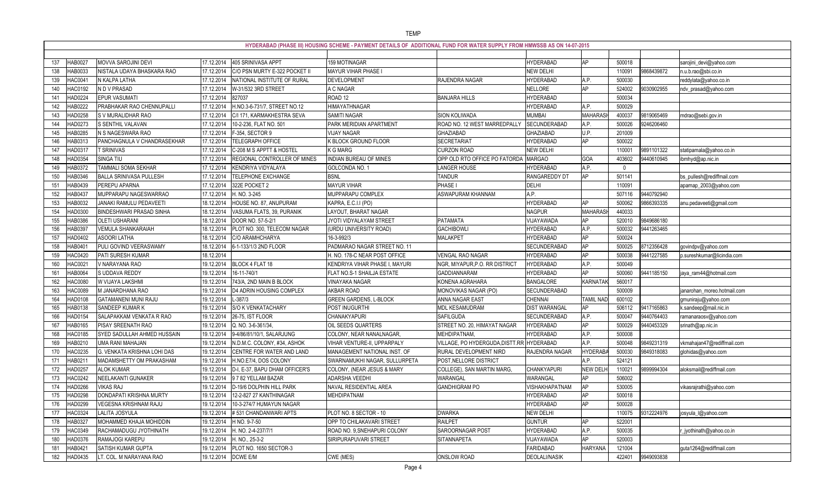|            |                |                                                 |                          |                                                     | HYDERABAD (PHASE III) HOUSING SCHEME - PAYMENT DETAILS OF ADDITIONAL FUND FOR WATER SUPPLY FROM HMWSSB AS ON 14-07-2015 |                                                                     |                                      |                       |                    |            |                                                  |
|------------|----------------|-------------------------------------------------|--------------------------|-----------------------------------------------------|-------------------------------------------------------------------------------------------------------------------------|---------------------------------------------------------------------|--------------------------------------|-----------------------|--------------------|------------|--------------------------------------------------|
|            | HAB0027        | MOVVA SAROJINI DEVI                             | 17.12.2014               | 405 SRINIVASA APPT                                  | 159 MOTINAGAR                                                                                                           |                                                                     | <b>HYDERABAD</b>                     | AP                    | 500018             |            |                                                  |
|            | HAB0033        | NISTALA UDAYA BHASKARA RAO                      | 17.12.2014               | C/O PSN MURTY E-322 POCKET II                       | MAYUR VIHAR PHASE I                                                                                                     |                                                                     | <b>NEW DELHI</b>                     |                       | 110091             | 9868439872 | sarojini_devi@yahoo.com                          |
| 138        | HAC0041        | N KALPA LATHA                                   | 17.12.2014               | NATIONAL INSTITUTE OF RURAL                         | <b>DEVELOPMENT</b>                                                                                                      | <b>RAJENDRA NAGAR</b>                                               | <b>IYDERABAD</b>                     | A.P.                  | 500030             |            | n.u.b.rao@sbi.co.in                              |
| 139<br>140 | HAC0192        | N D V PRASAD                                    | 17.12.2014               | W-31/532 3RD STREET                                 | A C NAGAR                                                                                                               |                                                                     | NELLORE                              | AP                    | 524002             | 9030902955 | reddylata@yahoo.co.in<br>ndv_prasad@yahoo.com    |
| 141        | HAD0224        | EPUR VASUMATI                                   | 17.12.2014               | 827037                                              | ROAD <sub>12</sub>                                                                                                      | <b>BANJARA HILLS</b>                                                | <b>IYDERABAD</b>                     |                       | 500034             |            |                                                  |
| 142        | HAB0222        | PRABHAKAR RAO CHENNUPALLI                       | 17.12.2014               | H.NO.3-6-731/7, STREET NO.12                        | HIMAYATHNAGAR                                                                                                           |                                                                     | <b>HYDERABAD</b>                     | A.P.                  | 500029             |            |                                                  |
|            | <b>IAD0258</b> | S V MURALIDHAR RAO                              | 17.12.2014               | C/I 171, KARMAKHESTRA SEVA                          | SAMITI NAGAR                                                                                                            | SION KOLIWADA                                                       | <b>MUMBAI</b>                        | <b>MAHARAS</b>        | 400037             | 9819065469 |                                                  |
| 143<br>144 | HAD0273        | S SENTHIL VALAVAN                               | 17.12.2014               | 10-2-236, FLAT NO. 501                              | PARK MERIDIAN APARTMENT                                                                                                 | ROAD NO. 12 WEST MARREDPALLY                                        | SECUNDERABAD                         | A.P.                  | 500026             | 9246206460 | mdrao@sebi.gov.in                                |
| 145        | HAB0285        | N S NAGESWARA RAO                               | 17.12.2014               | F-354, SECTOR 9                                     | <b>VIJAY NAGAR</b>                                                                                                      | GHAZIABAD                                                           | GHAZIABAD                            | U.P.                  | 201009             |            |                                                  |
| 146        | HAB031         | PANCHAGNULA V CHANDRASEKHAR                     | 17.12.2014               | TELEGRAPH OFFICE                                    | K BLOCK GROUND FLOOR                                                                                                    | SECRETARIAT                                                         | <b>IYDERABAD</b>                     | AP                    | 500022             |            |                                                  |
| 147        | HAD031         | <b>T SRINIVAS</b>                               | 17.12.2014               | C-208 M S APPTT & HOSTEL                            | K G MARG                                                                                                                | <b>CURZON ROAD</b>                                                  | <b>NEW DELHI</b>                     |                       | 11000 <sup>-</sup> | 9891101322 | statipamala@yahoo.co.in                          |
| 148        | HAD0354        | SINGA TIU                                       | 17.12.2014               | REGIONAL CONTROLLER OF MINES                        | <b>INDIAN BUREAU OF MINES</b>                                                                                           | OPP OLD RTO OFFICE PO FATORDA                                       | <b>MARGAO</b>                        | GOA                   | 403602             | 9440610945 | ibmhyd@ap.nic.in                                 |
| 149        | <b>IAB0372</b> | TAMMALI SOMA SEKHAR                             | 17.12.2014               | KENDRIYA VIDYALAYA                                  | GOLCONDA NO. 1                                                                                                          | LANGER HOUSE                                                        | <b>HYDERABAD</b>                     | A.P.                  | $\cup$             |            |                                                  |
| 150        | HAB0346        | BALLA SRINIVASA PULLESH                         | 17.12.2014               | <b>TELEPHONE EXCHANGE</b>                           | <b>BSNL</b>                                                                                                             | <b>TANDUR</b>                                                       | RANGAREDDY DT                        | AP                    | 501141             |            | bs_pullesh@rediffmail.com                        |
| 151        | <b>IAB0439</b> | PEREPU APARNA                                   | 17.12.2014               | 322E POCKET 2                                       | <b>MAYUR VIHAR</b>                                                                                                      | PHASE I                                                             | <b>DELHI</b>                         |                       | 110091             |            | aparnap_2003@yahoo.com                           |
| 152        | IAB0437        | MUPPARAPU NAGESWARRAO                           | 17.12.2014               | H. NO. 3-245                                        | MUPPARAPU COMPLEX                                                                                                       | ASWAPURAM KHANNAM                                                   | A.P.                                 |                       | 507116             | 9440792940 |                                                  |
| 153        | HAB0032        | JANAKI RAMULU PEDAVEETI                         | 18.12.2014               | HOUSE NO. 87, ANUPURAM                              | KAPRA, E.C.I.I (PO)                                                                                                     |                                                                     | <b>HYDERABAD</b>                     | AP                    | 500062             | 9866393335 | anu.pedaveeti@gmail.com                          |
| 154        | HAD0300        | BINDESHWARI PRASAD SINHA                        | 18.12.2014               | VASUMA FLATS, 39, PURANIK                           | LAYOUT, BHARAT NAGAR                                                                                                    |                                                                     | <b>NAGPUR</b>                        | <b>MAHARAS</b>        | 440033             |            |                                                  |
| 155        | HAB0386        | OLETI USHARANI                                  | 18.12.2014               | DOOR NO. 57-5-2/1                                   | JYOTI VIDYALAYAM STREET                                                                                                 | PATAMATA                                                            | VIJAYAWADA                           | AP                    | 520010             | 9849686180 |                                                  |
| 156        | HAB0397        | <b>VEMULA SHANKARAIAH</b>                       | 18.12.2014               | PLOT NO. 300, TELECOM NAGAR                         |                                                                                                                         | <b>GACHIBOWLI</b>                                                   | <b>IYDERABAD</b>                     | A.P.                  | 500032             | 9441263465 |                                                  |
| 157        | HAD0402        | <b>ASOORI LATHA</b>                             | 18.12.2014               | C/O ARAMHCHARYA                                     | (URDU UNIVERSITY ROAD)<br>16-3-992/3                                                                                    | <b>MALAKPET</b>                                                     | <b>IYDERABAD</b>                     | AP                    | 500024             |            |                                                  |
|            | <b>IAB040</b>  | PULI GOVIND VEERASWAMY                          | 18.12.2014               | 6-1-133/1/3 2ND FLOOR                               | PADMARAO NAGAR STREET NO. 11                                                                                            |                                                                     | SECUNDERABAD                         | AP                    | 500025             | 8712356428 |                                                  |
| 158<br>159 | HAC0420        | PATI SURESH KUMAR                               | 18.12.2014               |                                                     | H. NO. 178-C NEAR POST OFFICE                                                                                           | <b>VENGAL RAO NAGAR</b>                                             | <b>IYDERABAD</b>                     | AP                    | 500038             | 9441227585 | govindpv@yahoo.com<br>p.sureshkumar@licindia.com |
|            | HAC0021        | V NARAYANA RAO                                  | 19.12.2014               | BLOCK 4 FLAT 18                                     | KENDRIYA VIHAR PHASE I, MAYURI                                                                                          | NGR, MIYAPUR, P.O. RR DISTRICT                                      | <b>HYDERABAD</b>                     | A.P.                  | 500049             |            |                                                  |
| 160        |                |                                                 |                          |                                                     |                                                                                                                         |                                                                     |                                      | AP                    |                    |            |                                                  |
| 161        | HAB0064        | S UDDAVA REDDY                                  | 19.12.2014<br>19.12.2014 | 16-11-740/1<br>743/A, 2ND MAIN B BLOCK              | FLAT NO.S-1 SHAILJA ESTATE<br><b>VINAYAKA NAGAR</b>                                                                     | GADDIANNARAM                                                        | <b>IYDERABAD</b><br><b>BANGALORE</b> | KARNATA               | 500060<br>560017   | 9441185150 | jaya_ram44@hotmail.com                           |
| 162        | <b>IAC008</b>  | W VIJAYA LAKSHMI                                |                          | D4 ADRIN HOUSING COMPLEX                            |                                                                                                                         | KONENA AGRAHARA                                                     |                                      |                       |                    |            |                                                  |
| 163        | <b>IAC0089</b> | M JANARDHANA RAO                                | 19.12.2014               |                                                     | AKBAR ROAD                                                                                                              | MONOVIKAS NAGAR (PO)                                                | SECUNDERABAD                         |                       | 500009<br>600102   |            | janarohan_moreo.hotmail.com                      |
| 164        | HAD0108        | <b>GATAMANENI MUNI RAJU</b>                     | 19.12.2014               | $L - 387/3$                                         | <b>GREEN GARDENS, L-BLOCK</b>                                                                                           | ANNA NAGAR EAST                                                     | CHENNAI                              | TAMIL NAD             |                    |            | gmuniraju@yahoo.com                              |
| 165        | HAB0138        | SANDEEP KUMAR K                                 | 19.12.2014               | S/O K VENKATACHARY                                  | POST INUGURTHI                                                                                                          | MDL KESAMUDRAM                                                      | <b>DIST WARANGAL</b>                 | AP                    | 506112             | 9417165863 | k.sandeep@mail.nic.in                            |
| 166        | HAD0154        | SALAPAKKAM VENKATA R RAO                        | 19.12.2014               | 26-75, IST FLOOR                                    | CHANAKYAPURI                                                                                                            | <b>SAFILGUDA</b>                                                    | SECUNDERABAD                         | A.P.                  | 500047             | 9440764403 | ramanaraosv@yahoo.com                            |
| 167        | HAB0165        | PISAY SREENATH RAO                              |                          | 19.12.2014 Q. NO. 3-6-361/34,                       | OIL SEEDS QUARTERS                                                                                                      | STREET NO. 20, HIMAYAT NAGAR                                        | <b>HYDERABAD</b>                     | AP                    | 500029             | 9440453329 | srinath@ap.nic.in                                |
| 168        | <b>HAC0185</b> | SYED SADULLAH AHMED HUSSAIN                     |                          | 19.12.2014 9-4/86/81/10/1, SALARJUNG                | COLONY, NEAR NANALNAGAR,                                                                                                | MEHDIPATNAM,                                                        | <b>HYDERABAD</b>                     | A.P.<br>A.P.          | 500008<br>500048   |            |                                                  |
| 169        | HAB0210        | UMA RANI MAHAJAN<br>G. VENKATA KRISHNA LOHI DAS | 19.12.2014               | N.D.M.C. COLONY, #34, ASHOK                         | VIHAR VENTURE-II, UPPARPALY                                                                                             | VILLAGE, PO HYDERGUDA, DISTT.RR HYDERABAD<br>RURAL DEVELOPMENT NIRD |                                      |                       |                    | 9849231319 | vkmahajan47@rediffmail.com                       |
| 170        | HAC0235        |                                                 | 19.12.2014               | <b>CENTRE FOR WATER AND LAND</b>                    | MANAGEMENT NATIONAL INST. OF                                                                                            | POST, NELLORE DISTRICT                                              | RAJENDRA NAGAR                       | HYDERAB/              | 500030             | 9849318083 | glohidas@yahoo.com                               |
| 171        | HAB021         | MADAMSHETTY OM PRAKASHAM<br><b>ALOK KUMAR</b>   | 19.12.2014               | H.NO.E7/4, DOS COLONY                               | SWARNAMUKHI NAGAR, SULLURPETA                                                                                           |                                                                     | <b>CHANKYAPURI</b>                   | A.P.                  | 524121             |            |                                                  |
| 172        | HAD0257        |                                                 | 19.12.2014               | D-I, E-37, BAPU DHAM OFFICER'S                      | COLONY, (NEAR JESUS & MARY<br>ADARSHA VEEDHI                                                                            | COLLEGE), SAN MARTIN MARG,                                          |                                      | <b>NEW DELI</b><br>AP | 110021             | 9899994304 | aloksmail@rediffmail.com                         |
| 173        | HAC0242        | NEELAKANTI GUNAKER                              | 19.12.2014               | 9 7 82 YELLAM BAZAR                                 |                                                                                                                         | WARANGAL                                                            | WARANGAL                             |                       | 506002             |            |                                                  |
| 174        | HAD0266        | <b>VIKAS RAJ</b><br>DONDAPATI KRISHNA MURTY     | 19.12.2014<br>19.12.2014 | D-19/6 DOLPHIN HILL PARK<br>12-2-827 27 KANTHINAGAR | NAVAL RESIDENTIAL AREA<br>MEHDIPATNAM                                                                                   | <b>GANDHIGRAM PO</b>                                                | VISHAKHAPATNAM<br><b>HYDERABAD</b>   | AP<br>AP              | 530005             |            | vikasrajrathi@yahoo.com                          |
| 175        | HAD0298        |                                                 |                          |                                                     |                                                                                                                         |                                                                     |                                      | AP                    | 500018             |            |                                                  |
| 176        | HAD0299        | VEGESNA KRISHNAM RAJU                           | 19.12.2014               | 10-3-274/7 HUMAYUN NAGAR                            |                                                                                                                         | <b>DWARKA</b>                                                       | <b>HYDERABAD</b><br><b>NEW DELHI</b> |                       | 500028             |            |                                                  |
| 177        | HAC0324        | LALITA JOSYULA                                  | 19.12.2014               | #531 CHANDANWARI APTS                               | PLOT NO. 8 SECTOR - 10                                                                                                  |                                                                     |                                      |                       | 110075             | 9312224976 | josyula_l@yahoo.com                              |
| 178        | HAB0327        | MOHAMMED KHAJA MOHIDDIN                         | 19.12.2014               | H NO. 9-7-50                                        | OPP TO CHILAKAVARI STREET                                                                                               | RAILPET                                                             | <b>GUNTUR</b>                        | AP                    | 522001             |            |                                                  |
| 179        | HAC0349        | RACHAMADUGU JYOTHINATH                          | 19.12.2014               | H. NO. 2-4-237/7/1                                  | ROAD NO. 9, SNEHAPURI COLONY                                                                                            | <b>SAROORNAGAR POST</b>                                             | <b>IYDERABAD</b>                     | A.P.<br>AP            | 500035             |            | _jyothinath@yahoo.co.in                          |
| 180        | HAD0376        | RAMAJOGI KAREPU                                 | 19.12.2014               | H. NO., 25-3-2                                      | SIRIPURAPUVARI STREET                                                                                                   | <b>SITANNAPETA</b>                                                  | VIJAYAWADA                           |                       | 520003             |            |                                                  |
| 181        | HAB0421        | SATISH KUMAR GUPTA                              | 19.12.2014               | PLOT NO. 1650 SECTOR-3                              |                                                                                                                         |                                                                     | FARIDABAD                            | <b>HARYANA</b>        | 121004             |            | guta1264@rediffmail.com                          |
| 182        | HAD0435        | LT. COL. M NARAYANA RAO                         | 19.12.2014   DCWE E/M    |                                                     | CWE (MES)                                                                                                               | <b>ONSLOW ROAD</b>                                                  | <b>DEOLALI/NASIK</b>                 |                       | 422401             | 9949093838 |                                                  |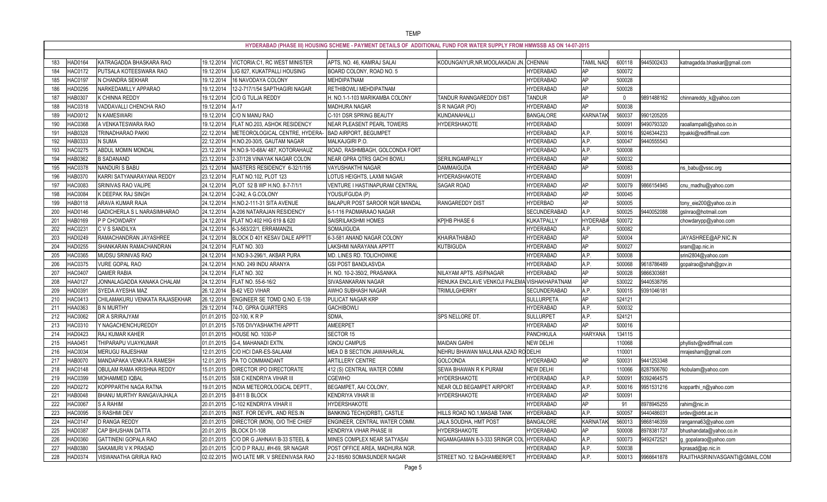|                       |                                |            |                                          | HYDERABAD (PHASE III) HOUSING SCHEME - PAYMENT DETAILS OF ADDITIONAL FUND FOR WATER SUPPLY FROM HMWSSB AS ON 14-07-2015 |                                              |                   |                  |          |            |                                |
|-----------------------|--------------------------------|------------|------------------------------------------|-------------------------------------------------------------------------------------------------------------------------|----------------------------------------------|-------------------|------------------|----------|------------|--------------------------------|
| HAD0164<br>183        | KATRAGADDA BHASKARA RAO        | 19.12.2014 | <b>VICTORIA:C1, RC WEST MINISTER</b>     | APTS, NO. 46, KAMRAJ SALAI                                                                                              | KODUNGAIYUR, NR. MOOLAKADAI JN. CHENNAI      |                   | <b>TAMIL NAD</b> | 600118   | 9445002433 | katnagadda.bhaskar@gmail.com   |
| <b>HAC0172</b><br>184 | PUTSALA KOTEESWARA RAO         | 19.12.2014 | LIG 827, KUKATPALLI HOUSING              | BOARD COLONY, ROAD NO. 5                                                                                                |                                              | <b>HYDERABAD</b>  | AP               | 500072   |            |                                |
| <b>HAC0197</b><br>185 | N CHANDRA SEKHAR               | 19.12.2014 | 16 NAVODAYA COLONY                       | MEHDIPATNAM                                                                                                             |                                              | <b>HYDERABAD</b>  | AP               | 500028   |            |                                |
| 186<br>HAD0295        | NARKEDAMILLY APPARAO           | 19.12.2014 | 12-2-717/1/54 SAPTHAGIRI NAGAR           | RETHIBOWLI MEHDIPATNAM                                                                                                  |                                              | <b>HYDERABAD</b>  | AP               | 500028   |            |                                |
| HAB0307<br>187        | K CHINNA REDDY                 | 19.12.2014 | C/O G TULJA REDDY                        | H. NO.1-1-103 MARIKAMBA COLONY                                                                                          | TANDUR RANNGAREDDY DIST                      | <b>TANDUR</b>     | <b>AP</b>        | $\Omega$ | 9891488162 | chinnareddy_k@yahoo.com        |
| HAC0318<br>188        | VADDAVALLI CHENCHA RAO         | 19.12.2014 | $A-17$                                   | MADHURA NAGAR                                                                                                           | S R NAGAR (PO)                               | <b>HYDERABAD</b>  | AP               | 500038   |            |                                |
| HAD0012<br>189        | <b>V KAMESWARI</b>             | 19.12.2014 | C/O N MANU RAO                           | C-101 DSR SPRING BEAUTY                                                                                                 | KUNDANAHALLI                                 | <b>BANGALORE</b>  | KARNATA          | 560037   | 9901205205 |                                |
| HAC0368<br>190        | A VENKATESWARA RAO             | 19.12.2014 | FLAT NO.203, ASHOK RESIDENCY             | NEAR PLEASENT PEARL TOWERS                                                                                              | HYDERSHAKOTE                                 | <b>HYDERABAD</b>  |                  | 500091   | 9490793320 | raoallampalli@yahoo.co.in      |
| HAB0328<br>191        | TRINADHARAO PAKKI              | 22.12.2014 | METEOROLOGICAL CENTRE, HYDERA            | <b>BAD AIRPORT, BEGUMPET</b>                                                                                            |                                              | <b>TYDERABAD</b>  | A.P.             | 500016   | 9246344233 | trpakki@rediffmail.com         |
| HAB0333<br>192        | <b>V SUMA</b>                  | 22.12.2014 | H.NO.20-30/5, GAUTAM NAGAR               | MALKAJGIRI P.O.                                                                                                         |                                              | <b>HYDERABAD</b>  | A.P.             | 500047   | 9440555543 |                                |
| <b>HAC0275</b><br>193 | <b>ABDUL MOMIN MONDAL</b>      | 23.12.2014 | H.NO.9-10-68A/ 487, KOTORAHAUZ           | ROAD, RASHMBAGH, GOLCONDA FORT                                                                                          |                                              | <b>IYDERABAD</b>  | A.P.             | 500008   |            |                                |
| HAB0362<br>194        | <b>B SADANAND</b>              | 23.12.2014 | 2-37/128 VINAYAK NAGAR COLON             | NEAR GPRA QTRS GACHI BOWLI                                                                                              | SERILINGAMPALLY                              | <b>HYDERABAD</b>  | AP               | 500032   |            |                                |
| 195<br>HAC0378        | <b>NANDURIS BABU</b>           | 23.12.2014 | MASTERS RESIDENCY 6-32/1/195             | VAYUSHAKTHI NAGAR                                                                                                       | <b>DAMMAIGUDA</b>                            | <b>HYDERABAD</b>  | AP               | 500083   |            | ns_babu@vssc.org               |
| HAB0370<br>196        | KARRI SATYANARAYANA REDDY      | 23.12.2014 | FLAT NO.102, PLOT 123                    | LOTUS HEIGHTS, LAXMI NAGAR                                                                                              | <b>HYDERASHAKOTE</b>                         | <b>HYDERABAD</b>  |                  | 500091   |            |                                |
| HAC0083<br>197        | SRINIVAS RAO VALIPE            | 24.12.2014 | PLOT 52 B WP H.NO. 8-7-7/1/1             | VENTURE I HASTINAPURAM CENTRAL                                                                                          | SAGAR ROAD                                   | <b>HYDERABAD</b>  | AP               | 500079   | 9866154945 | cnu_madhu@yahoo.com            |
| <b>HAC0084</b><br>198 | K DEEPAK RAJ SINGH             | 24.12.2014 | C-242, A G.COLONY                        | YOUSUFGUDA (P)                                                                                                          |                                              | <b>HYDERABAD</b>  | AP               | 500045   |            |                                |
| HAB0118<br>199        | ARAVA KUMAR RAJA               | 24.12.2014 | H.NO.2-111-31 SITA AVENUE                | BALAPUR POST SAROOR NGR MANDAL                                                                                          | RANGAREDDY DIST                              | <b>HYDERBAD</b>   | AP               | 500005   |            | tony_eie200@yahoo.co.in        |
| 200<br>HAD0146        | GADICHERLA S L NARASIMHARAO    | 24.12.2014 | A-206 NATARAJAN RESIDENCY                | 6-1-116 PADMARAAO NAGAR                                                                                                 |                                              | SECUNDERABAD      | A.P.             | 500025   | 9440052088 | gsInrao@hotmail.com            |
| HAB0169<br>201        | P P CHOWDARY                   | 24.12.2014 | FLAT NO.402 HIG 619 & 620                | SAISRILAKSHMI HOMES                                                                                                     | KP[HB PHASE 6                                | KUKATPALLY        | <b>HYDERAB</b>   | 500072   |            | chowdarypp@yahoo.com           |
| HAC023<br>202         | C V S SANDILYA                 | 24.12.2014 | 6-3-563/22/1, ERRAMANZIL                 | SOMAJIGUDA                                                                                                              |                                              | <b>HYDERABAD</b>  | A.P.             | 500082   |            |                                |
| 203<br>HAD0249        | RAMACHANDRAN JAYASHREE         | 24.12.2014 | BLOCK D 401 KESAV DALE APPTT             | 6-3-581 ANAND NAGAR COLONY                                                                                              | KHAIRATHABAD                                 | <b>HYDERABAD</b>  | AP               | 500004   |            | JAYASHREE@AP.NIC.IN            |
| 204<br>HAD0255        | SHANKARAN RAMACHANDRAN         | 24.12.2014 | FLAT NO. 303                             | LAKSHMI NARAYANA APPTT                                                                                                  | <b>KUTBIGUDA</b>                             | <b>HYDERABAD</b>  | AP               | 500027   |            | sram@ap.nic.in                 |
| <b>HAC0365</b><br>205 | MUDSU SRINIVAS RAO             | 24.12.2014 | H.NO.9-3-296/1, AKBAR PURA               | MD. LINES RD. TOLICHOWKIE                                                                                               |                                              | <b>HYDERABAD</b>  | A.P.             | 500008   |            | srini2804@yahoo.com            |
| 206<br><b>HAC0375</b> | <b>VURE GOPAL RAO</b>          | 24.12.2014 | H.NO. 249 INDU ARANYA                    | <b>GSI POST BANDLASVDA</b>                                                                                              |                                              | <b>HYDERABAD</b>  | A.P.             | 500068   | 9618786489 | gopalrao@shah@gov.in           |
| <b>HAC0407</b><br>207 | <b>QAMER RABIA</b>             | 24.12.2014 | FLAT NO. 302                             | H. NO. 10-2-350/2, PRASANKA                                                                                             | NILAYAM APTS. ASIFNAGAR                      | <b>HYDERABAD</b>  | AP               | 500028   | 9866303681 |                                |
| 208<br>HAA0127        | JONNALAGADDA KANAKA CHALAM     | 24.12.2014 | FLAT NO. 55-6-16/2                       | SIVASANKARAN NAGAR                                                                                                      | RENUKA ENCLAVE VENKOJI PALEMA VISHAKHAPATNAM |                   | <b>AP</b>        | 530022   | 9440538795 |                                |
| HAD0391<br>209        | SYEDA AYESHA MAZ               | 26.12.2014 | B-62 VED VIHAR                           | AWHO SUBHASH NAGAR                                                                                                      | <b>TRIMULGHERRY</b>                          | SECUNDERABAD      | A.P.             | 500015   | 9391046181 |                                |
| HAC0413<br>210        | CHILAMAKURU VENKATA RAJASEKHAR | 26.12.2014 | ENGINEER SE TOMD Q.NO. E-139             | PULICAT NAGAR KRP                                                                                                       |                                              | <b>SULLURPETA</b> | AP               | 524121   |            |                                |
| HAA0363<br>211        | <b>B N MURTHY</b>              | 29.12.2014 | 74-D, GPRA QUARTERS                      | <b>GACHIBOWLI</b>                                                                                                       |                                              | <b>IYDERABAD</b>  | A.P.             | 500032   |            |                                |
| <b>HAC0062</b><br>212 | <b>DR A SRIRAJYAM</b>          | 01.01.2015 | D2-100, KRP                              | SDMA                                                                                                                    | SPS NELLORE DT.                              | <b>SULLURPET</b>  | A.P.             | 524121   |            |                                |
| 213<br>HAC0310        | Y NAGACHENCHUREDDY             |            | 01.01.2015 5-705 DIVYASHAKTHI APPTT      | AMEERPET                                                                                                                |                                              | <b>HYDERABAD</b>  | AP               | 500016   |            |                                |
| 214<br>HAD0423        | RAJ KUMAR KAHER                |            | 01.01.2015 HOUSE NO. 1030-P              | SECTOR 15                                                                                                               |                                              | PANCHKULA         | <b>HARYANA</b>   | 134115   |            |                                |
| HAA0451<br>215        | THIPARAPU VIJAYKUMAR           |            | 01.01.2015 G-4, MAHANADI EXTN.           | <b>IGNOU CAMPUS</b>                                                                                                     | <b>MAIDAN GARHI</b>                          | <b>NEW DELHI</b>  |                  | 110068   |            | phyllistv@rediffmail.com       |
| HAC0034<br>216        | MERUGU RAJESHAM                |            | 12.01.2015 C/O HCI DAR-ES-SALAAM         | MEA D B SECTION JAWAHARLAL                                                                                              | NEHRU BHAWAN MAULANA AZAD RO DELHI           |                   |                  | 110001   |            | mrajesham@gmail.com            |
| 217<br>HAB0070        | MANDAPAKA VENKATA RAMESH       |            | 12.01.2015 PA TO COMMANDANT              | ARTILLERY CENTRE                                                                                                        | <b>GOLCONDA</b>                              | <b>HYDERABAD</b>  | AP               | 500031   | 9441253348 |                                |
| <b>HAC0148</b><br>218 | OBULAM RAMA KRISHNA REDDY      | 15.01.2015 | <b>DIRECTOR IPO DIRECTORATE</b>          | 412 (S) CENTRAL WATER COMM                                                                                              | SEWA BHAWAN R K PURAM                        | <b>NEW DELHI</b>  |                  | 110066   | 8287506760 | rkobulam@yahoo.com             |
| HAC0399<br>219        | MOHAMMED IQBAL                 |            | 15.01.2015 508 C KENDRIYA VIHAR III      | CGEWHO                                                                                                                  | HYDERSHAKOTE                                 | <b>HYDERABAD</b>  | A.P.             | 500091   | 9392464575 |                                |
| HAD0272<br>220        | KOPPPARTHI NAGA RATNA          | 19.01.2015 | INDIA METEOROLOGICAL DEPTT.              | BEGAMPET, AAI COLONY,                                                                                                   | <b>NEAR OLD BEGAMPET AIRPORT</b>             | <b>HYDERABAD</b>  | A.P.             | 500016   | 9951531216 | kopparthi_n@yahoo.com          |
| 221<br>HAB0048        | BHANU MURTHY RANGAVAJHALA      | 20.01.2015 | B-811 B BLOCK                            | <b>KENDRIYA VIHAR III</b>                                                                                               | HYDERSHAKOTE                                 | <b>HYDERABAD</b>  | AP               | 500091   |            |                                |
| 222<br><b>HAC0067</b> | S A RAHIM                      |            | 20.01.2015 C-102 KENDRIYA VIHAR II       | HYDERSHAKOTE                                                                                                            |                                              | <b>HYDERABAD</b>  | AP               | 91       | 8978945255 | rahim@nic.in                   |
| 223<br><b>HAC0095</b> | S RASHMI DEV                   |            | 20.01.2015  INST. FOR DEVPL. AND RES.IN  | <b>BANKING TECH(IDRBT), CASTLE</b>                                                                                      | HILLS ROAD NO.1, MASAB TANK                  | <b>HYDERABAD</b>  | A.P.             | 500057   | 9440486031 | srdev@idrbt.ac.in              |
| 224<br><b>HAC0147</b> | <b>D RANGA REDDY</b>           | 20.01.2015 | DIRECTOR (MON), O/O THE CHIEF            | ENGINEER, CENTRAL WATER COMM.                                                                                           | JALA SOUDHA, HMT POST                        | <b>BANGALORE</b>  | KARNATAK         | 560013   | 9868146359 | ranganna63@yahoo.com           |
| 225<br>HAD0387        | CAP BHUSHAN DATTA              |            | 20.01.2015 BLOCK D1-108                  | KENDRIYA VIHAR PHASE III                                                                                                | <b>HYDERSHAKOTE</b>                          | <b>HYDERABAD</b>  | AP               | 500008   | 8978381737 | bhushandata@yahoo.co.in        |
| 226<br>HAD0360        | <b>GATTINENI GOPALA RAO</b>    | 20.01.2015 | C/O DR G JAHNAVI B-33 STEEL &            | MINES COMPLEX NEAR SATYASAI                                                                                             | NIGAMAGAMAN 8-3-333 SRINGR COL               | <b>HYDERABAD</b>  | A.P.             | 500073   | 9492472521 | g_gopalarao@yahoo.com          |
| HAB0380<br>227        | SAKAMURI V K PRASAD            | 20.01.2015 | C/O D P RAJU, #H-69, SR NAGAR            | POST OFFICE AREA, MADHURA NGR.                                                                                          |                                              | <b>HYDERABAD</b>  | A.P.             | 500038   |            | kprasad@ap.nic.in              |
| 228<br>HAD0374        | VISWANATHA GRIRJA RAO          |            | 02.02.2015 W/O LATE MR. V SREENIVASA RAO | 2-2-185/60 SOMASUNDER NAGAR                                                                                             | STREET NO. 12 BAGHAMBERPET                   | <b>HYDERABAD</b>  | A.P.             | 500013   | 9966641878 | RAJITHASRINIVASGANTI@GMAIL.COM |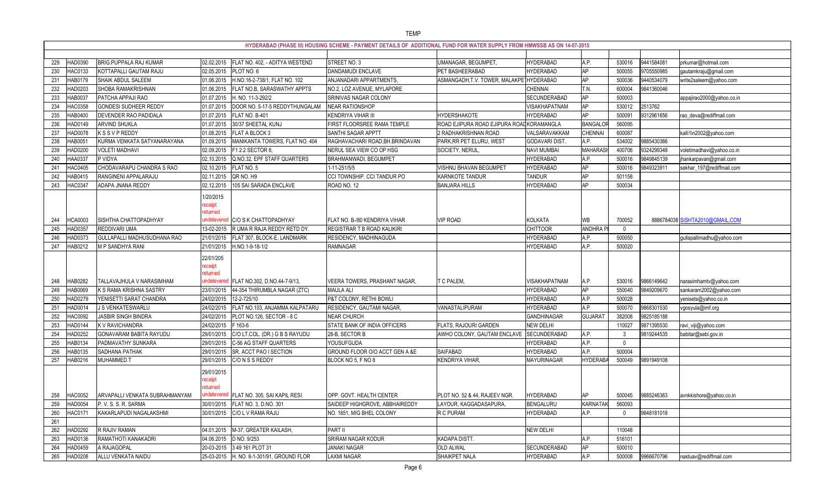|     |                |                                |                                   |                                           | HYDERABAD (PHASE III) HOUSING SCHEME - PAYMENT DETAILS OF ADDITIONAL FUND FOR WATER SUPPLY FROM HMWSSB AS ON 14-07-2015 |                                          |                      |                |          |            |                                 |
|-----|----------------|--------------------------------|-----------------------------------|-------------------------------------------|-------------------------------------------------------------------------------------------------------------------------|------------------------------------------|----------------------|----------------|----------|------------|---------------------------------|
| 229 | IAD0390        | <b>BRIG.PUPPALA RAJ KUMAR</b>  | 02.02.2015                        | FLAT NO. 402, - ADITYA WESTEND            | STREET NO. 3                                                                                                            | UMANAGAR, BEGUMPET                       | <b>HYDERABAD</b>     | A.P.           | 530016   | 944158408  | prkumar@hotmail.com             |
| 230 | HAC0133        | KOTTAPALLI GAUTAM RAJU         | 02.05.2015                        | PLOT NO. 6                                | <b>DANDAMUDI ENCLAVE</b>                                                                                                | PET BASHEERABAD                          | <b>HYDERABAD</b>     | <b>AP</b>      | 500055   | 9705550985 | qautamkraju@gmail.com           |
| 231 | AB0179         | SHAIK ABDUL SALEEM             | 01.06.2015                        | H.NO.16-2-738/1, FLAT NO. 102             | ANJANADARI APPARTMENTS,                                                                                                 | ASMANGADH, T.V. TOWER, MALAKPE           | <b>HYDERABAD</b>     | <b>AP</b>      | 500036   | 9440534079 | write2saleem@yahoo.com          |
| 232 | AD0203         | SHOBA RAMAKRISHNAN             | 01.06.2015                        | FLAT NO.B, SARASWATHY APPTS               | NO.2, LOZ AVENUE, MYLAPORE                                                                                              |                                          | <b>CHENNAI</b>       | M.             | 600004   | 9841360046 |                                 |
| 233 | AB0037         | PATCHA APPAJI RAO              | 01.07.2015                        | H. NO. 11-3-292/2                         | SRINIVAS NAGAR COLONY                                                                                                   |                                          | SECUNDERABAD         | <b>AP</b>      | 500003   |            | appajirao2000@yahoo.co.in       |
| 234 | AC0358         | <b>GONDESI SUDHEER REDDY</b>   | 01.07.2015                        | DOOR NO. 5-17-5 REDDYTHUNGALAM            | <b>NEAR RATIONSHOP</b>                                                                                                  |                                          | VISAKHAPATNAM        | <b>AP</b>      | 530012   | 2513762    |                                 |
| 235 | <b>IAB0400</b> | DEVENDER RAO PADIDALA          | 01.07.2015                        | FLAT NO. B-401                            | <b>KENDRIYA VIHAR III</b>                                                                                               | <b>HYDERSHAKOTE</b>                      | <b>HYDERABAD</b>     | <b>AP</b>      | 500091   | 9312961656 | rao_deva@rediffmail.com         |
| 236 | AD0149         | ARVIND SHUKLA                  | 01.07.2015                        | 30/37 SHEETAL KUNJ                        | FIRST FLOORSREE RAMA TEMPLE                                                                                             | ROAD EJIPURA ROAD EJIPURA ROADKORAMANGLA |                      | BANGALC        | 560095   |            |                                 |
| 237 | <b>IAD0078</b> | <b>KSSVPREDDY</b>              | 01.08.2015                        | FLAT A BLOCK 3                            | SANTHI SAGAR APPTT                                                                                                      | 2 RADHAKRISHNAN ROAD                     | VALSARAVAKKAM        | <b>CHENNA</b>  | 600087   |            | kalli1in2002@yahoo.com          |
| 238 | AB005          | KURMA VENKATA SATYANARAYANA    | 01.09.2015                        | MANIKANTA TOWERS, FLAT NO. 404            | RAGHAVACHARI ROAD, BH. BRINDAVAN                                                                                        | PARK, RR PET ELURU, WEST                 | <b>GODAVARI DIST</b> | A.P.           | 534002   | 9885430366 |                                 |
| 239 | <b>IAD0200</b> | <b>VOLETI MADHAVI</b>          | 02.09.2015                        | F1 2:2 SECTOR 6,                          | NERUL SEA VIEW CO OP HSG                                                                                                | SOCIETY, NERUL                           | <b>NAVI MUMBAI</b>   | <b>MAHARAS</b> | 400706   | 9324299348 | voletimadhavi@yahoo.co.in       |
| 240 | <b>IAA0337</b> | P VIDYA                        | 02.10.2015                        | Q.NO.32, EPF STAFF QUARTERS               | BRAHMANWADI, BEGUMPET                                                                                                   |                                          | <b>HYDERABAD</b>     | A.P.           | 500016   | 9849845139 | jhankarpavan@gmail.com          |
| 241 | AC0405         | CHODAVARAPU CHANDRA S RAO      | 02.10.2015                        | FLAT NO. 5                                | 1-11-251/5/5                                                                                                            | <b>VISHNU BHAVAN BEGUMPET</b>            | <b>HYDERABAD</b>     | <b>AP</b>      | 500016   | 984932391  | sekhar_197@rediffmail.com       |
| 242 | AB0415         | RANGINENI APPALARAJU           | 02.11.2015                        | QR NO. H9                                 | CCI TOWNSHIP. CCI TANDUR PO                                                                                             | KARNKOTE TANDUR                          | <b>TANDUR</b>        | <b>AP</b>      | 501158   |            |                                 |
| 243 | AC0347         | ADAPA JNANA REDDY              | 02.12.2015                        | 105 SAI SARADA ENCLAVE                    | ROAD NO. 12                                                                                                             | <b>BANJARA HILLS</b>                     | <b>HYDERABAD</b>     | AP             | 500034   |            |                                 |
|     |                |                                | 1/20/2015<br>eceipt<br>eturned    |                                           |                                                                                                                         |                                          |                      |                |          |            |                                 |
| 244 | HCA0003        | SISHTHA CHATTOPADHYAY          | indelevere                        | C/O S K CHATTOPADHYAY                     | FLAT NO. B-/80 KENDRIYA VIHAR                                                                                           | <b>VIP ROAD</b>                          | <b>KOLKATA</b>       | WB             | 700052   |            | 8886784038 SISHTA2010@GMAIL.COM |
| 245 | HAD0357        | REDDIVARI UMA                  | 13-02-2015                        | R UMA R RAJA REDDY RETD DY.               | REGISTRAR T B ROAD KALIKIRI                                                                                             |                                          | <b>CHITTOOR</b>      | <b>ANDHRAF</b> | $\Omega$ |            |                                 |
| 246 | AD0373         | GULLAPALLI MADHUSUDHANA RAO    | 21/01/2015                        | FLAT 307, BLOCK-E, LANDMARK               | RESIDENCY, MADHINAGUDA                                                                                                  |                                          | <b>HYDERABAD</b>     | A.P.           | 500050   |            | gullapallimadhu@yahoo.com       |
| 247 | HAB0212        | M P SANDHYA RANI               | 21/01/2015                        | H.NO.1-9-18-1/2                           | <b>RAMNAGAR</b>                                                                                                         |                                          | <b>HYDERABAD</b>     | A.P.           | 500020   |            |                                 |
|     |                |                                | 22/01/205<br>eceipt<br>returnec   |                                           |                                                                                                                         |                                          |                      |                |          |            |                                 |
| 248 | HAB0282        | TALLAVAJHULA V NARASIMHAM      | undelevered                       | FLAT NO.302, D.NO.44-7-9/13,              | VEERA TOWERS, PRASHANT NAGAR,                                                                                           | T C PALEM,                               | VISAKHAPATNAM        | A.P.           | 530016   | 9866149642 | narasimhamtv@yahoo.com          |
| 249 | HAB0069        | K S RAMA KRISHNA SASTRY        | 23/01/2015                        | 44-354 THIRUMBLA NAGAR (ZTC)              | <b>MAULA ALI</b>                                                                                                        |                                          | <b>HYDERABAD</b>     | <b>AP</b>      | 550040   | 9849209670 | sankaram2002@yahoo.com          |
| 250 | AD0279         | YENISETTI SARAT CHANDRA        | 24/02/2015                        | 12-2-725/10                               | P&T COLONY, RETHI BOWLI                                                                                                 |                                          | <b>HYDERABAD</b>     | A.P.           | 500028   |            | yenisets@yahoo.co.in            |
| 251 | IAD001         | J S VENKATESWARLU              | 24/02/2015                        | FLAT NO.103, ANJAMMA KALPATARU            | RESIDENCY, GAUTAMI NAGAR,                                                                                               | VANASTALIPURAM                           | <b>HYDERABAD</b>     | A.P            | 500070   | 9868301530 | vgosyula@imf.org                |
| 252 | AC0092         | JASBIR SINGH BINDRA            | 24/02/2015                        | PLOT NO.126, SECTOR - 8 C                 | <b>NEAR CHURCH</b>                                                                                                      |                                          | <b>GANDHINAGAR</b>   | <b>GUJARA</b>  | 382008   | 9825185188 |                                 |
| 253 | HAD0144        | K V RAVICHANDRA                | 24/02/2015                        | F 163-6                                   | STATE BANK OF INDIA OFFICERS                                                                                            | FLATS, RAJOURI GARDEN                    | <b>NEW DELHI</b>     |                | 110027   | 9871395530 | ravi_viji@yahoo.com             |
| 254 | HAD0252        | <b>GONAVARAM BABITA RAYUDU</b> |                                   | 29/01/2015 C/O LT.COL. (DR.) G B S RAYUDU | 28-B, SECTOR B                                                                                                          | AWHO COLONY, GAUTAM ENCLAVE SECUNDERABAD |                      | A.P.           |          | 9819244535 | babitar@sebi.gov.in             |
| 255 | HAB0134        | PADMAVATHY SUNKARA             | 29/01/2015                        | C-56 AG STAFF QUARTERS                    | <b>YOUSUFGUDA</b>                                                                                                       |                                          | <b>HYDERABAD</b>     | A.P.           | $\Omega$ |            |                                 |
| 256 | HAB0135        | SADHANA PATHAK                 | 29/01/2015                        | SR. ACCT PAO I SECTION                    | GROUND FLOOR O/O ACCT GEN A &E                                                                                          | SAIFABAD                                 | <b>HYDERABAD</b>     | A.P.           | 500004   |            |                                 |
| 257 | HAB0216        | MUHAMMED.T                     | 29/01/2015                        | C/O N S S REDDY                           | BLOCK NO 5, F NO 8                                                                                                      | KENDRIYA VIHAR,                          | <b>MAYURINAGAR</b>   | <b>HYDERAB</b> | 500049   | 9891949108 |                                 |
| 258 | HAC0052        | ARVAPALLI VENKATA SUBRAHMANYAM | 29/01/2015<br>receipt<br>returned | undelevered FLAT NO. 305, SAI KAPIL RESI. | OPP. GOVT. HEALTH CENTER                                                                                                | PLOT NO. 52 & 44, RAJEEV NGR             | <b>HYDERABAD</b>     | AP             | 500045   | 9885246363 | avnkkishore@yahoo.co.in         |
| 259 | HAD0054        | P. V. S. S. R. SARMA           |                                   | 30/01/2015 FLAT NO. 3, D.NO. 301          | SAIDEEP HIGHGROVE, ABBHAIREDDY                                                                                          | LAYOUR, KAGGADASAPURA,                   | <b>BENGALURU</b>     | KARNATAK       | 560093   |            |                                 |
| 260 | <b>IAC0171</b> | KAKARLAPUDI NAGALAKSHMI        | 30/01/2015                        | C/O L V RAMA RAJU                         | NO. 1651, MIG BHEL COLONY                                                                                               | R C PURAM                                | <b>HYDERABAD</b>     | A.P.           | $\Omega$ | 9848181018 |                                 |
| 261 |                |                                |                                   |                                           |                                                                                                                         |                                          |                      |                |          |            |                                 |
| 262 | HAD0292        | R RAJIV RAMAN                  |                                   | 04.01.2015   M-37, GREATER KAILASH,       | PART II                                                                                                                 |                                          | <b>NEW DELHI</b>     |                | 110048   |            |                                 |
| 263 | HAD0136        | RAMATHOTI KANAKADRI            |                                   | 04.06.2015 D NO. 9/253                    | SRIRAM NAGAR KODUR                                                                                                      | KADAPA DISTT.                            |                      | A.P.           | 516101   |            |                                 |
| 264 | HAD0459        | A RAJAGOPAL                    |                                   | 20-03-2015 3 49 161 PLOT 31               | <b>JANAKI NAGAR</b>                                                                                                     | <b>OLD ALWAL</b>                         | SECUNDERABAD         | <b>AP</b>      | 500010   |            |                                 |
| 265 | <b>HAD0208</b> | ALLU VENKATA NAIDU             |                                   | 25-03-2015 H. NO. 8-1-301/91, GROUND FLOR | <b>LAXMI NAGAR</b>                                                                                                      | SHAIKPET NALA                            | <b>HYDERABAD</b>     | A.P.           | 500008   | 9966670796 | naiduav@rediffmail.com          |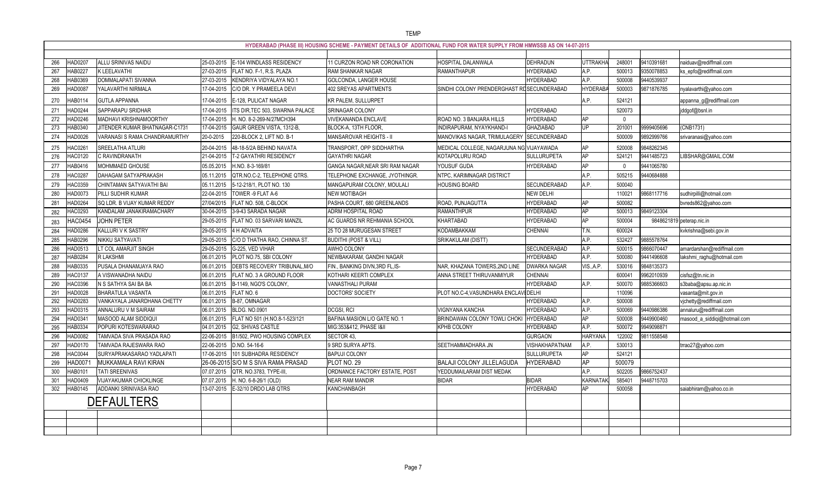|                       |                                |                                                     | HYDERABAD (PHASE III) HOUSING SCHEME - PAYMENT DETAILS OF ADDITIONAL FUND FOR WATER SUPPLY FROM HMWSSB AS ON 14-07-2015 |                                           |                     |                |        |                          |                              |
|-----------------------|--------------------------------|-----------------------------------------------------|-------------------------------------------------------------------------------------------------------------------------|-------------------------------------------|---------------------|----------------|--------|--------------------------|------------------------------|
| HAD0207               | ALLU SRINIVAS NAIDU            | 25-03-2015<br>E-104 WINDLASS RESIDENCY              |                                                                                                                         | <b>HOSPITAL DALANWALA</b>                 | <b>DEHRADUN</b>     | UTTRAKH.       | 248001 | 9410391681               |                              |
| 266<br>HAB022         | K LEELAVATHI                   | FLAT NO. F-1, R.S. PLAZA                            | 11 CURZON ROAD NR CORONATION                                                                                            | RAMANTHAPUR                               | <b>HYDERABAD</b>    |                | 500013 |                          | naiduav@rediffmail.com       |
| 267<br>268<br>HAB0369 | DOMMALAPATI SIVANNA            | 27-03-2015<br>27-03-2015<br>KENDRIYA VIDYALAYA NO.1 | <b>RAM SHANKAR NAGAR</b><br>GOLCONDA, LANGER HOUSE                                                                      |                                           | <b>HYDERABAD</b>    | A.P.<br>A.P.   | 500008 | 9350078853<br>9440539937 | ks_epfo@rediffmail.com       |
| 269<br>HAD0087        | YALAVARTHI NIRMALA             | C/O DR. Y PRAMEELA DEVI<br>17-04-2015               | 402 SREYAS APARTMENTS                                                                                                   | SINDHI COLONY PRENDERGHAST RUSECUNDERABAD |                     | <b>HYDERAB</b> | 500003 | 9871876785               |                              |
|                       |                                |                                                     |                                                                                                                         |                                           |                     |                |        |                          | nyalavarthi@yahoo.com        |
| HAB0114<br>270        | <b>GUTLA APPANNA</b>           | 17-04-2015<br>E-128, PULICAT NAGAR                  | <b>KR PALEM, SULLURPET</b>                                                                                              |                                           |                     | A.P.           | 524121 |                          | appanna_g@rediffmail.com     |
| HAD0244<br>271        | SAPPARAPU SRIDHAR              | 17-04-2015<br>ITS DIR, TEC 503, SWARNA PALACE       | SRINAGAR COLONY                                                                                                         |                                           | <b>HYDERABAD</b>    |                | 520073 |                          | jddgof@bsnl.in               |
| 272<br>HAD0246        | MADHAVI KRISHNAMOORTHY         | 17-04-2015<br>H. NO. 8-2-269-N/27MCH394             | <b>VIVEKANANDA ENCLAVE</b>                                                                                              | ROAD NO. 3 BANJARA HILLS                  | <b>HYDERABAD</b>    | <b>AP</b>      | $\cap$ |                          |                              |
| HAB0340<br>273        | JITENDER KUMAR BHATNAGAR-C1731 | GAUR GREEN VISTA, 1312-B,<br>17-04-2015             | BLOCK-A, 13TH FLOOR,                                                                                                    | INDIRAPURAM, NYAYKHAND-I                  | <b>GHAZIABAD</b>    | UP             | 201001 | 9999405696               | (CNB1731)                    |
| 274<br>HAD0026        | VARANASI S RAMA CHANDRAMURTHY  | 20-0-2015<br>220-BLOCK 2, LIFT NO. B-1              | MANSAROVAR HEIGHTS - II                                                                                                 | MANOVIKAS NAGAR, TRIMULAGERY              | SECUNDERABAD        |                | 500009 | 9892999766               | srivaranasi@yahoo.com        |
| AC026<br>275          | SREELATHA ATLURI               | 20-04-2015<br>48-18-5/2A BEHIND NAVATA              | TRANSPORT, OPP SIDDHARTHA                                                                                               | MEDICAL COLLEGE, NAGARJUNA NG VIJAYAWADA  |                     | AP             | 520008 | 9848262345               |                              |
| HAC0120<br>276        | C RAVINDRANATH                 | <b>T-2 GAYATHRI RESIDENCY</b><br>21-04-2015         | <b>GAYATHRI NAGAR</b>                                                                                                   | KOTAPOLURU ROAD                           | <b>SULLURUPETA</b>  | <b>AP</b>      | 524121 | 9441485723               | LIBSHAR@GMAIL.COM            |
| HAB0416<br>277        | MOHMMAED GHOUSE                | 05.05.2015<br>H.NO. 8-3-169/81                      | GANGA NAGAR, NEAR SRI RAM NAGAR                                                                                         | YOUSUF GUDA                               | <b>HYDERABAD</b>    | AP             |        | 9441065780               |                              |
| 278<br><b>IAC0287</b> | <b>DAHAGAM SATYAPRAKASH</b>    | QTR.NO.C-2, TELEPHONE QTRS.<br>05.11.2015           | TELEPHONE EXCHANGE, JYOTHINGR.                                                                                          | <b>NTPC, KARIMNAGAR DISTRICT</b>          |                     | A.P.           | 505215 | 9440684888               |                              |
| <b>HAC0359</b><br>279 | CHINTAMAN SATYAVATHI BAI       | 5-12-218/1, PLOT NO. 130<br>05.11.2015              | MANGAPURAM COLONY, MOULALI                                                                                              | <b>HOUSING BOARD</b>                      | SECUNDERABAD        | A.P.           | 500040 |                          |                              |
| HAD0073<br>280        | PILLI SUDHIR KUMAR             | 22-04-2015<br>TOWER -9 FLAT A-6                     | <b>NEW MOTIBAGH</b>                                                                                                     |                                           | <b>NEW DELHI</b>    |                | 110021 | 9868117716               | sudhirpilli@hotmail.com      |
| 281<br>IAD0264        | SQ LDR. B VIJAY KUMAR REDDY    | FLAT NO. 508, C-BLOCK<br>27/04/2015                 | PASHA COURT, 680 GREENLANDS                                                                                             | ROAD, PUNJAGUTTA                          | <b>HYDERABAD</b>    | <b>AP</b>      | 500082 |                          | bvreds862@yahoo.com          |
| HAC0293<br>282        | KANDALAM JANAKIRAMACHARY       | 3-9-43 SARADA NAGAR<br>30-04-2015                   | ADRM HOSPITAL ROAD                                                                                                      | RAMANTHPUR                                | <b>HYDERABAD</b>    | АP             | 500013 | 9849123304               |                              |
| <b>IAC0454</b><br>283 | JOHN PETER                     | 29-05-2015<br>FLAT NO. 03 SARVARI MANZIL            | AC GUARDS NR REHMANIA SCHOOL                                                                                            | KHARTABAD                                 | <b>HYDERABAD</b>    | AP             | 500004 |                          | 9848621819 peterap.nic.in    |
| HAD0286<br>284        | <b>KALLURI V K SASTRY</b>      | 29-05-2015<br>4 H ADVAITA                           | 25 TO 28 MURUGESAN STREET                                                                                               | KODAMBAKKAM                               | <b>CHENNAI</b>      | T.N.           | 600024 |                          | kvkrishna@sebi.gov.in        |
| 285<br>HAB0296        | NIKKU SATYAVATI                | C/O D THATHA RAO, CHINNA ST.<br>29-05-2015          | <b>BUDITHI (POST &amp; VILL)</b>                                                                                        | SRIKAKULAM (DISTT)                        |                     | A.P.           | 532427 | 9885578764               |                              |
| 286<br>HAD0513        | LT COL AMARJIT SINGH           | 29-05-2015<br>G-225, VED VIHAR                      | AWHO COLONY                                                                                                             |                                           | SECUNDERABAD        | A.P.           | 500015 | 9866070447               | amardarshan@rediffmail.com   |
| HAB0284<br>287        | R LAKSHMI                      | 06.01.2015<br>PLOT NO.75, SBI COLONY                | NEWBAKARAM, GANDHI NAGAR                                                                                                |                                           | <b>HYDERABAD</b>    | A.P.           | 500080 | 9441496608               | lakshmi_raghu@hotmail.com    |
| 288<br><b>IAB0335</b> | PUSALA DHANAMJAYA RAO          | DEBTS RECOVERY TRIBUNAL, M/O<br>06.01.2015          | FIN., BANKING DIVN, 3RD FL, IS-                                                                                         | NAR, KHAZANA TOWERS, 2ND LINE             | <b>DWARKA NAGAR</b> | VIS., A.P.     | 530016 | 9848135373               |                              |
| 289<br>HAC0137        | A VISWANADHA NAIDU             | FLAT NO. 3 A GROUND FLOOR<br>06.01.2015             | KOTHARI KEERTI COMPLEX                                                                                                  | ANNA STREET THIRUVANMIYUR                 | <b>CHENNAI</b>      |                | 600041 | 9962010939               | cisfsz@tn.nic.in             |
| 290<br><b>IAC0396</b> | N S SATHYA SAI BA BA           | B-1149, NGO'S COLONY,<br>06.01.2015                 | <b>VANASTHALI PURAM</b>                                                                                                 |                                           | <b>HYDERABAD</b>    | A.P.           | 500070 | 9885366603               | s3baba@apsu.ap.nic.in        |
| 291<br>HAD0028        | <b>BHARATULA VASANTA</b>       | 06.01.2015<br>FLAT NO. 6                            | DOCTORS' SOCIETY                                                                                                        | PLOT NO.C-4, VASUNDHARA ENCLAVI DELHI     |                     |                | 110096 |                          | vasanta@mit.gov.in           |
| HAD0283<br>292        | VANKAYALA JANARDHANA CHETTY    | 06.01.2015<br>B-87, OMNAGAR                         |                                                                                                                         |                                           | <b>HYDERABAD</b>    | A.P.           | 500008 |                          | vjchetty@rediffmail.com      |
| HAD0315<br>293        | ANNALURU V M SAIRAM            | <b>BLDG. NO.0901</b><br>06.01.2015                  | DCGSI, RCI                                                                                                              | <b>VIGNYANA KANCHA</b>                    | <b>HYDERABAD</b>    | A.P.           | 500069 | 9440986386               | annaluru@rediffmail.com      |
| AD034<br>294          | MASOOD ALAM SIDDIQU            | FLAT NO 501 (H.NO.8-1-523/121<br>06.01.2015         | BAFINA MASION L/O GATE NO.                                                                                              | BRINDAWAN COLONY TOWLI CHOKI              | <b>HYDERABAD</b>    | <b>AP</b>      | 500008 | 9449900460               | masood_a_siddiqi@hotmail.com |
| HAB0334<br>295        | POPURI KOTESWARARAO            | 04.01.2015<br>G2, SHIVAS CASTLE                     | MIG:353&412, PHASE I&II                                                                                                 | <b>KPHB COLONY</b>                        | HYDERABAD           | A.P.           | 500072 | 9949098871               |                              |
| <b>HAD0082</b>        | TAMVADA SIVA PRASADA RAO       | 22-06-2015 B1/502, PWO HOUSING COMPLEX              | SECTOR 43,                                                                                                              |                                           | <b>GURGAON</b>      | <b>HARYANA</b> | 122002 | 9811558548               |                              |
| 297<br><b>HAD0170</b> | TAMVADA RAJESWARA RAO          | 22-06-2015 D.NO. 54-16-6                            | 9 SRD SURYA APTS.                                                                                                       | SEETHAMMADHARA JN                         | VISHAKHAPATNAM      | A.P.           | 530013 |                          | trrao27@yahoo.com            |
| <b>HAC0044</b><br>298 | SURYAPRAKASARAO YADLAPATI      | 17-06-2015 101 SUBHADRA RESIDENCY                   | <b>BAPUJI COLONY</b>                                                                                                    |                                           | <b>SULLURUPETA</b>  | AP             | 524121 |                          |                              |
| 299                   | HAD0071  MUKKAMALA RAVI KIRAN  | 26-06-2015 S/O M S SIVA RAMA PRASAD                 | PLOT NO. 29                                                                                                             | <b>BALAJI COLONY JILLELAGUDA</b>          | HYDERABAD           | AP             | 500079 |                          |                              |
| 300<br>HAB0101        | <b>TATI SREENIVAS</b>          | 07.07.2015 QTR. NO.3783, TYPE-III,                  | ORDNANCE FACTORY ESTATE, POST                                                                                           | YEDDUMAILARAM DIST MEDAK                  |                     | A.P.           | 502205 | 9866752437               |                              |
| 301<br>HAD0409        | VIJAYAKUMAR CHICKLINGE         | $ 07.07.2015 $ H. NO. 6-8-26/1 (OLD)                | <b>NEAR RAM MANDIR</b>                                                                                                  | <b>BIDAR</b>                              | <b>BIDAR</b>        | <b>KARNATA</b> | 585401 | 9448715703               |                              |
| <b>HAB0145</b><br>302 | ADDANKI SRINIVASA RAO          | 13-07-2015 E-32/10 DRDO LAB QTRS                    | KANCHANBAGH                                                                                                             |                                           | <b>HYDERABAD</b>    | AP             | 500058 |                          | saiabhiram@yahoo.co.in       |
|                       | <b>DEFAULTERS</b>              |                                                     |                                                                                                                         |                                           |                     |                |        |                          |                              |
|                       |                                |                                                     |                                                                                                                         |                                           |                     |                |        |                          |                              |
|                       |                                |                                                     |                                                                                                                         |                                           |                     |                |        |                          |                              |
|                       |                                |                                                     |                                                                                                                         |                                           |                     |                |        |                          |                              |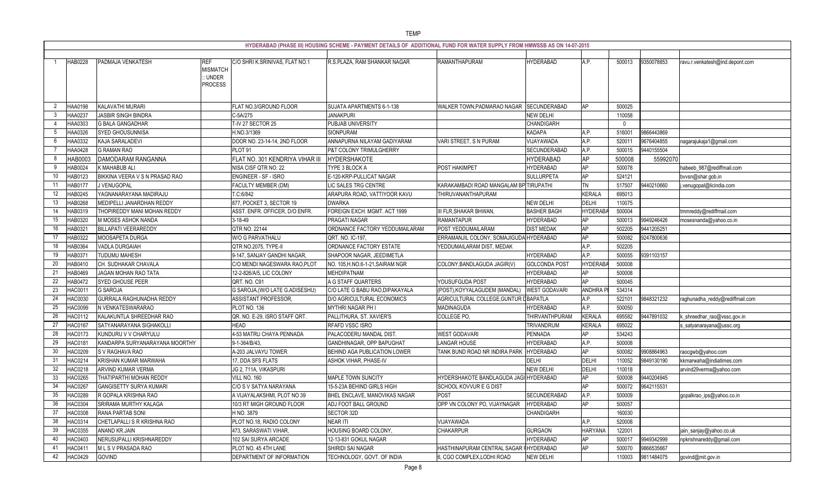|          |                   |                                               |                                                            |                                                          | HYDERABAD (PHASE III) HOUSING SCHEME - PAYMENT DETAILS OF ADDITIONAL FUND FOR WATER SUPPLY FROM HMWSSB AS ON 14-07-2015 |                                               |                      |                |                  |            |                                 |
|----------|-------------------|-----------------------------------------------|------------------------------------------------------------|----------------------------------------------------------|-------------------------------------------------------------------------------------------------------------------------|-----------------------------------------------|----------------------|----------------|------------------|------------|---------------------------------|
|          | <b>HAB0228</b>    | PADMAJA VENKATESH                             | <b>REF</b><br><b>MISMATCH</b><br>: UNDER<br><b>PROCESS</b> | C/O SHRI K.SRINIVAS, FLAT NO.1                           | R.S.PLAZA, RAM SHANKAR NAGAR                                                                                            | RAMANTHAPURAM                                 | <b>HYDERABAD</b>     | A.P.           | 500013           | 9350078853 | ravu.r.venkatesh@ind.depont.com |
| -2       | HAA0198           | KALAVATHI MURARI                              |                                                            | FLAT NO.3/GROUND FLOOR                                   | SUJATA APARTMENTS 6-1-138                                                                                               | WALKER TOWN, PADMARAO NAGAR SECUNDERABAD      |                      | AP             | 500025           |            |                                 |
|          | HAA023            | <b>JASBIR SINGH BINDRA</b>                    |                                                            | C-5A/275                                                 | JANAKPURI                                                                                                               |                                               | <b>NEW DELHI</b>     |                | 110058           |            |                                 |
|          | HAA0303           | <b>G BALA GANGADHAR</b>                       |                                                            | T-IV 27 SECTOR 25                                        | PUBJAB UNIVERSITY                                                                                                       |                                               | CHANDIGARH           |                | $\Omega$         |            |                                 |
|          | HAA0326           | SYED GHOUSUNNISA                              |                                                            | H.NO.3/1369                                              | <b>SIONPURAM</b>                                                                                                        |                                               | <b>KADAPA</b>        | A.P.           | 516001           | 9866443869 |                                 |
|          | HAA0332           | KAJA SARALADEVI                               |                                                            | DOOR NO. 23-14-14, 2ND FLOOR                             | ANNAPURNA NILAYAM GADIYARAM                                                                                             | VARI STREET, S N PURAM                        | VIJAYAWADA           | A.P.           | 520011           | 9676404855 | nagarajukaja1@gmail.com         |
|          | HAA0428           | <b>G RAMAN RAO</b>                            |                                                            | PLOT <sub>91</sub>                                       | P&T COLONY TRIMULGHERRY                                                                                                 |                                               | SECUNDERABAD         | A.P.           | 500015           | 9440155504 |                                 |
|          | HAB0003           | DAMODARAM RANGANNA                            |                                                            | FLAT NO. 301 KENDRIYA VIHAR III                          | HYDERSHAKOTE                                                                                                            |                                               | <b>HYDERABAD</b>     | <b>AP</b>      | 500008           | 55992070   |                                 |
|          | HAB0024           | K MAHABUB ALI                                 |                                                            | NISA CISF QTR NO. 22                                     | TYPE 3 BLOCK A                                                                                                          | <b>POST HAKIMPET</b>                          | <b>HYDERABAD</b>     | AP             | 500078           |            | habeeb_987@rediffmail.com       |
| 10       | HAB0123           | BIKKINA VEERA V S N PRASAD RAO                |                                                            | <b>ENGINEER - SF - ISRO</b>                              | E-120-KRP-PULLICAT NAGAR                                                                                                |                                               | <b>SULLURPETA</b>    | AP             | 524121           |            | bvvsn@shar.gob.in               |
|          | HAB0177           | J VENUGOPAL                                   |                                                            | <b>FACULTY MEMBER (DM)</b>                               | LIC SALES TRG CENTRE                                                                                                    | KARAKAMBADI ROAD MANGALAM BP TIRUPATHI        |                      | TN             | 517507           | 9440210660 | .venugopal@licindia.com         |
| 12       | <b>IAB0245</b>    | YAGNANARAYANA MADIRAJU                        |                                                            | T.C:6/842                                                | ARAPURA ROAD, VATTIYOOR KAVU                                                                                            | THIRUVANANTHAPURAM                            |                      | <b>KERALA</b>  | 695013           |            |                                 |
| 13       | <b>IAB0268</b>    | MEDIPELLI JANARDHAN REDDY                     |                                                            | 877, POCKET 3, SECTOR 19                                 | <b>DWARKA</b>                                                                                                           |                                               | <b>NEW DELHI</b>     | <b>DELHI</b>   | 110075           |            |                                 |
| 14       | <b>IAB0319</b>    | THOPIREDDY MANI MOHAN REDDY                   |                                                            | ASST. ENFR. OFFICER, D/O ENFR.                           | FOREIGN EXCH. MGMT. ACT 1999                                                                                            | <b>III FLR, SHAKAR BHWAN,</b>                 | <b>BASHER BAGH</b>   | <b>HYDERAB</b> | 500004           |            | tmmreddy@rediffmail.com         |
| 15       | <b>IAB0320</b>    | M MOSES ASHOK NANDA                           |                                                            | 3-18-49                                                  | PRAGATI NAGAR                                                                                                           | RAMANTAPUR                                    | <b>HYDERABAD</b>     | AP             | 500013           | 9949246426 | mosesnanda@yahoo.co.in          |
| 16       | IAB032            | <b>BILLAPATI VEERAREDDY</b>                   |                                                            | QTR NO. 22144                                            | ORDNANCE FACTORY YEDDUMAILARAM                                                                                          | POST YEDDUMAILARAM                            | <b>DIST MEDAK</b>    | <b>AP</b>      | 502205           | 9441205251 |                                 |
|          | HAB0322           | MOOSAPETA DURGA                               |                                                            | W/O G PARVATHALU                                         | QRT. NO. IC-197,                                                                                                        | ERRAMANJIL COLONY, SOMAJIGUDA HYDERABAD       |                      | AP             | 500082           | 9247800636 |                                 |
| 18       | HAB0364           | VADLA DURGAIAH                                |                                                            | QTR NO.2075, TYPE-II                                     | ORDNANCE FACTORY ESTATE                                                                                                 | YEDDUMAILARAM DIST, MEDAK                     |                      | A.P.           | 502205           |            |                                 |
| 19       | HAB037            | TUDUMU MAHESH                                 |                                                            | 9-147, SANJAY GANDHI NAGAR,                              | SHAPOOR NAGAR, JEEDIMETLA                                                                                               |                                               | <b>HYDERABAD</b>     | A.P.           | 500055           | 9391103157 |                                 |
| 20       | HAB0410           | CH. SUDHAKAR CHAVALA                          |                                                            | C/O MENDI NAGESWARA RAO, PLOT                            | NO. 105, H.NO.6-1-21, SAIRAM NGR                                                                                        | COLONY, BANDLAGUDA JAGIR(V)                   | <b>GOLCONDA POST</b> | <b>HYDERAB</b> | 500008           |            |                                 |
| -21      | HAB0469           | JAGAN MOHAN RAO TATA                          |                                                            | 12-2-826/A/5, LIC COLONY                                 | <b>MEHDIPATNAM</b>                                                                                                      |                                               | <b>HYDERABAD</b>     | AP             | 500008           |            |                                 |
| 22       | HAB0472           | SYED GHOUSE PEER                              |                                                            | QRT. NO. C91                                             | A G STAFF QUARTERS                                                                                                      | YOUSUFGUDA POST                               | <b>HYDERABAD</b>     | AP             | 500045           |            |                                 |
| 23       | HAC001            | <b>G SAROJA</b>                               |                                                            | G SAROJA, (W/O LATE G.ADISESHU                           | C/O LATE G BABU RAO, DIPAKAYALA                                                                                         | (POST), KOYYALAGUDEM (MANDAL)                 | <b>WEST GODAVARI</b> | <b>ANDHRA</b>  | 534314           |            |                                 |
| 24       | <b>IAC0030</b>    | GURRALA RAGHUNADHA REDDY                      |                                                            | <b>ASSISTANT PROFESSOR,</b>                              | <b>D/O AGRICULTURAL ECONOMICS</b>                                                                                       | AGRICULTURAL COLLEGE, GUNTUR L BAPATLA        |                      | A.P.           | 522101           | 9848321232 | raghunadha_reddy@rediffmail.com |
| 25       | <b>IAC0099</b>    | N VENKATESWARARAO                             |                                                            | PLOT NO. 136                                             | MYTHRI NAGAR PH I                                                                                                       | MADINAGUDA                                    | <b>HYDERABAD</b>     | A.P.           | 500050           |            |                                 |
| 26       | HAC0112           | KALAKUNTLA SHREEDHAR RAO                      |                                                            | QR. NO. E-29, ISRO STAFF QRT.                            | PALLITHURA, ST. XAVIER'S                                                                                                | COLLEGE PO,                                   | THIRVANTHPURAM       | <b>KERALA</b>  | 695582           | 9447891032 | shreedhar_rao@vssc.gov.in       |
|          | HAC0167           | SATYANARAYANA SIGHAKOLLI                      |                                                            | <b>HEAD</b>                                              | <b>RFAFD VSSC ISRO</b>                                                                                                  |                                               | <b>TRIVANDRUM</b>    | <b>KERALA</b>  | 695022           |            | s_satyanarayana@ussc.org        |
| 28       | <b>HAC0173</b>    | KUNDURU V V CHARYULU                          |                                                            | 4-53 MATRU CHAYA PENNADA                                 | PALACODERU MANDAL DIST.                                                                                                 | <b>WEST GODAVARI</b>                          | PENNADA              | AP             | 534243           |            |                                 |
| 29       | HAC0181           | KANDARPA SURYANARAYANA MOORTHY                |                                                            | 9-1-364/B/43,                                            | GANDHINAGAR, OPP BAPUGHAT                                                                                               | LANGAR HOUSE                                  | <b>HYDERABAD</b>     | A.P.           | 500008           |            |                                 |
| 30       | HAC0209           | S V RAGHAVA RAO                               |                                                            | A-203 JALVAYU TOWER                                      | <b>BEHIND AGA PUBLICATION LOWER</b>                                                                                     | TANK BUND ROAD NR INDIRA PARK                 | <b>HYDERABAD</b>     | AP             | 500082           | 9908864963 | raocgwb@yahoo.com               |
| 31       | HAC0214           | KRISHAN KUMAR MARWAHA                         |                                                            | 17, DDA SFS FLATS                                        | <b>ASHOK VIHAR, PHASE-IV</b>                                                                                            |                                               | <b>DELHI</b>         | DELHI          | 110052           | 9849130190 | kkmarwaha@indiatimes.com        |
| 32<br>33 | <b>HAC0218</b>    | ARVIND KUMAR VERMA<br>THATIPARTHI MOHAN REDDY |                                                            | JG 2, 711A, VIKASPURI<br><b>VILL NO. 160</b>             | MAPLE TOWN SUNCITY                                                                                                      | <b>HYDERSHAKOTE BANDLAGUDA JAGI HYDERABAD</b> | <b>NEW DELHI</b>     | DELHI<br>AP    | 110018<br>500008 | 9440204945 | arvind29verma@yahoo.com         |
| 34       | <b>HAC0265</b>    | <b>GANGISETTY SURYA KUMARI</b>                |                                                            |                                                          | 15-5-23A BEHIND GIRLS HIGH                                                                                              | SCHOOL KOVVUR E G DIST                        |                      | <b>AP</b>      |                  | 9642115531 |                                 |
|          | HAC026            |                                               |                                                            | C/O S V SATYA NARAYANA                                   |                                                                                                                         |                                               | <b>SECUNDERABAD</b>  |                | 500072<br>500009 |            |                                 |
| 35<br>36 | HAC028<br>HAC0304 | R GOPALA KRISHNA RAO<br>SRIRAMA MURTHY KALAGA |                                                            | A VIJAYALAKSHMI, PLOT NO 39<br>10/3 RT MIGH GROUND FLOOR | BHEL ENCLAVE, MANOVIKAS NAGAR<br>ADJ FOOT BALL GROUND                                                                   | <b>POST</b><br>OPP VN COLONY PO, VIJAYNAGAR   | <b>HYDERABAD</b>     | A.P.<br>AP     | 500057           |            | gopalkrao_ips@yahoo.co.in       |
| 37       | HAC0308           | RANA PARTAB SONI                              |                                                            | H NO. 3879                                               | SECTOR 32D                                                                                                              |                                               | CHANDIGARH           |                | 160030           |            |                                 |
| 38       | HAC031            | CHETLAPALLI S R KRISHNA RAO                   |                                                            | PLOT NO.18, RADIO COLONY                                 | <b>NEAR ITI</b>                                                                                                         | VIJAYAWADA                                    |                      | A.P.           | 520008           |            |                                 |
| 39       | <b>HAC0355</b>    | ANAND KR.JAIN                                 |                                                            | 473, SARASWATI VIHAR,                                    | HOUSING BOARD COLONY,                                                                                                   | <b>CHAKARPUR</b>                              | <b>GURGAON</b>       | <b>HARYANA</b> | 122001           |            | jain_sanjay@yahoo.co.uk         |
| 40       | HAC0403           | NERUSUPALLI KRISHNAREDDY                      |                                                            | 102 SAI SURYA ARCADE                                     | 12-13-831 GOKUL NAGAR                                                                                                   |                                               | <b>HYDERABAD</b>     | AP             | 500017           | 9949342999 | npkrishnareddy@gmail.com        |
| 41       | HAC041            | MLSV PRASADA RAO                              |                                                            | PLOT NO. 45 4TH LANE                                     | SHIRIDI SAI NAGAR                                                                                                       | HASTHINAPURAM CENTRAL SAGAR IHYDERABAD        |                      | AP             | 500070           | 9866535667 |                                 |
| 42       | <b>HAC0429</b>    | <b>GOVIND</b>                                 |                                                            | DEPARTMENT OF INFORMATION                                | TECHNOLOGY, GOVT. OF INDIA                                                                                              | 6, CGO COMPLEX, LODHI ROAD                    | <b>NEW DELHI</b>     |                | 110003           | 9811484075 | govind@mit.gov.in               |
|          |                   |                                               |                                                            |                                                          |                                                                                                                         |                                               |                      |                |                  |            |                                 |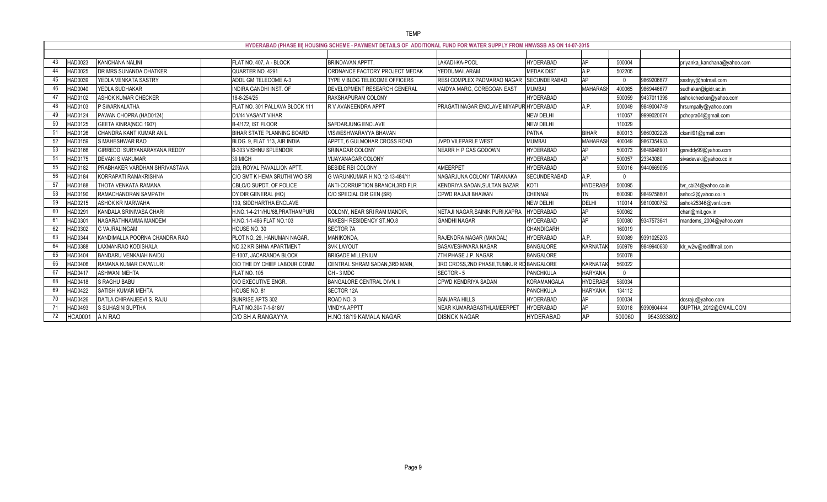|     | HYDERABAD (PHASE III) HOUSING SCHEME - PAYMENT DETAILS OF ADDITIONAL FUND FOR WATER SUPPLY FROM HMWSSB AS ON 14-07-2015 |                               |                                   |                                 |                                         |                     |                |          |            |                             |
|-----|-------------------------------------------------------------------------------------------------------------------------|-------------------------------|-----------------------------------|---------------------------------|-----------------------------------------|---------------------|----------------|----------|------------|-----------------------------|
|     |                                                                                                                         |                               |                                   |                                 |                                         |                     |                |          |            |                             |
|     | HAD0023                                                                                                                 | <b>KANCHANA NALINI</b>        | FLAT NO. 407, A - BLOCK           | <b>BRINDAVAN APPTT</b>          | LAKADI-KA-POOL                          | <b>HYDERABAD</b>    | AP             | 500004   |            | priyanka_kanchana@yahoo.com |
| 44  | HAD0025                                                                                                                 | DR MRS SUNANDA OHATKER        | QUARTER NO. 4291                  | ORDNANCE FACTORY PROJECT MEDAK  | YEDDUMAILARAM                           | <b>MEDAK DIST.</b>  | A.P.           | 502205   |            |                             |
| 45  | HAD0039                                                                                                                 | YEDLA VENKATA SASTRY          | ADDL GM TELECOME A-3              | TYPE V BLDG TELECOME OFFICERS   | RESI COMPLEX PADMARAO NAGAR             | <b>SECUNDERABAD</b> | <b>AP</b>      | $\cap$   | 9869206677 | sastryy@hotmail.com         |
|     | <b>IAD0040</b>                                                                                                          | YEDLA SUDHAKAR                | INDIRA GANDHI INST. OF            | DEVELOPMENT RESEARCH GENERAL    | VAIDYA MARG, GOREGOAN EAST              | <b>MUMBAI</b>       | <b>MAHARAS</b> | 400065   | 9869446677 | sudhakar@igidr.ac.in        |
|     | HAD0102                                                                                                                 | ASHOK KUMAR CHECKER           | 18-8-254/25                       | RAKSHAPURAM COLONY              |                                         | <b>HYDERABAD</b>    |                | 500059   | 9437011398 | ashokchecker@yahoo.com      |
| 48  | HAD0103                                                                                                                 | P SWARNALATHA                 | FLAT NO. 301 PALLAVA BLOCK 111    | R V AVANEENDRA APPT             | PRAGATI NAGAR ENCLAVE MIYAPUR           | <b>HYDERABAD</b>    | A.P.           | 500049   | 9849004749 | hrsumpally@yahoo.com        |
| 49  | HAD0124                                                                                                                 | PAWAN CHOPRA (HAD0124)        | D1/44 VASANT VIHAR                |                                 |                                         | NEW DELHI           |                | 110057   | 9999020074 | pchopra04@gmail.com         |
| 50  | HAD0125                                                                                                                 | GEETA KINRA(NCC 1907)         | B-4/172, IST FLOOR                | SAFDARJUNG ENCLAVE              |                                         | <b>NEW DELHI</b>    |                | 110029   |            |                             |
| 51  | HAD0126                                                                                                                 | CHANDRA KANT KUMAR ANIL       | <b>BIHAR STATE PLANNING BOARD</b> | VISWESHWARAYYA BHAVAN           |                                         | <b>PATNA</b>        | <b>BIHAR</b>   | 800013   | 9860302228 | ckanil91@gmail.com          |
| 52  | <b>IAD0159</b>                                                                                                          | S MAHESHWAR RAO               | BLDG. 9, FLAT 113, AIR INDIA      | APPTT, 6 GULMOHAR CROSS ROAD    | <b>JVPD VILEPARLE WEST</b>              | <b>MUMBAI</b>       | <b>MAHARAS</b> | 400049   | 9867354933 |                             |
| 53  | HAD0166                                                                                                                 | GIRREDDI SURYANARAYANA REDDY  | B-303 VISHNU SPLENDOR             | SRINAGAR COLONY                 | NEARR H P GAS GODOWN                    | <b>HYDERABAD</b>    | AP             | 500073   | 9848948901 | gsreddy99@yahoo.com         |
| 54  | HAD0175                                                                                                                 | DEVAKI SIVAKUMAR              | 39 MIGH                           | <b>VIJAYANAGAR COLONY</b>       |                                         | <b>HYDERABAD</b>    | AP             | 500057   | 23343080   | sivadevaki@yahoo.co.in      |
| 55  | HAD0182                                                                                                                 | PRABHAKER VARDHAN SHRIVASTAVA | 209, ROYAL PAVALLION APTT         | <b>BESIDE RBI COLONY</b>        | AMEERPET                                | <b>HYDERABAD</b>    |                | 500016   | 9440669095 |                             |
| 56  | HAD0184                                                                                                                 | KORRAPATI RAMAKRISHNA         | C/O SMT K HEMA SRUTHI W/O SRI     | G VARUNKUMAR H.NO.12-13-484/11  | NAGARJUNA COLONY TARANAKA               | <b>SECUNDERABAD</b> | A.P.           | $\Omega$ |            |                             |
| 57  | HAD0188                                                                                                                 | THOTA VENKATA RAMANA          | CBI, O/O SUPDT. OF POLICE         | ANTI-CORRUPTION BRANCH, 3RD FLR | KENDRIYA SADAN, SULTAN BAZAR            | KOTI                | <b>HYDERAB</b> | 500095   |            | tvr_cbi24@yahoo.co.in       |
| 58  | <b>IAD0190</b>                                                                                                          | RAMACHANDRAN SAMPATH          | DY DIR GENERAL (HQ)               | O/O SPECIAL DIR GEN (SR)        | CPWD RAJAJI BHAWAN                      | CHENNAI             | <b>TN</b>      | 600090   | 9849758601 | sehcc2@yahoo.co.in          |
| 59  | HAD0215                                                                                                                 | ASHOK KR MARWAHA              | 139, SIDDHARTHA ENCLAVE           |                                 |                                         | <b>NEW DELHI</b>    | DELHI          | 110014   | 9810000752 | ashok25346@vsnl.com         |
| 60  | HAD029                                                                                                                  | KANDALA SRINIVASA CHARI       | H.NO.1-4-211/HU/68, PRATHAMPUR    | COLONY, NEAR SRI RAM MANDIR     | NETAJI NAGAR, SAINIK PURI, KAPRA        | <b>TYDERABAD</b>    | AP             | 500062   |            | chari@mit.gov.in            |
| -61 | HAD030                                                                                                                  | NAGARATHNAMMA MANDEM          | H.NO.1-1-486 FLAT NO.103          | RAKESH RESIDENCY ST.NO.8        | <b>GANDHI NAGAR</b>                     | <b>IYDERABAD</b>    | AP             | 500080   | 9347573641 | mandems_2004@yahoo.com      |
| 62  | HAD0302                                                                                                                 | <b>G VAJRALINGAM</b>          | HOUSE NO. 30                      | SECTOR 7A                       |                                         | CHANDIGARH          |                | 160019   |            |                             |
| 63  | HAD0344                                                                                                                 | KANDIMALLA POORNA CHANDRA RAO | PLOT NO. 29, HANUMAN NAGAR,       | MANIKONDA                       | RAJENDRA NAGAR (MANDAL)                 | <b>HYDERABAD</b>    | A.P.           | 500089   | 9391025203 |                             |
| 64  | <b>IAD0388</b>                                                                                                          | LAXMANRAO KODISHALA           | NO.32 KRISHNA APARTMENT           | <b>SVK LAYOUT</b>               | <b>BASAVESHWARA NAGAR</b>               | <b>BANGALORE</b>    | KARNATA        | 560979   | 9849940630 | klr_w2w@rediffmail.com      |
| 65  | HAD040                                                                                                                  | BANDARU VENKAIAH NAIDU        | E-1007, JACARANDA BLOCK           | <b>BRIGADE MILLENIUM</b>        | 7TH PHASE J.P. NAGAR                    | <b>BANGALORE</b>    |                | 560078   |            |                             |
| 66  | HAD0406                                                                                                                 | RAMANA KUMAR DAVWLURI         | O/O THE DY CHIEF LABOUR COMM      | CENTRAL SHRAM SADAN, 3RD MAIN,  | 3RD CROSS,2ND PHASE,TUMKUR RD BANGALORE |                     | KARNATAI       | 560022   |            |                             |
| 67  | <b>IAD0417</b>                                                                                                          | <b>ASHWANI MEHTA</b>          | FLAT NO. 105                      | GH-3 MDC                        | SECTOR-5                                | <b>PANCHKULA</b>    | <b>HARYANA</b> | $\Omega$ |            |                             |
| 68  | HAD0418                                                                                                                 | S RAGHU BABU                  | O/O EXECUTIVE ENGR.               | BANGALORE CENTRAL DIVN. II      | CPWD KENDRIYA SADAN                     | KORAMANGALA         | <b>HYDERAB</b> | 580034   |            |                             |
| 69  | HAD0422                                                                                                                 | SATISH KUMAR MEHTA            | HOUSE NO. 81                      | SECTOR 12A                      |                                         | <b>PANCHKULA</b>    | <b>HARYANA</b> | 134112   |            |                             |
| 70  | <b>IAD0426</b>                                                                                                          | DATLA CHIRANJEEVI S. RAJU     | SUNRISE APTS 302                  | ROAD NO. 3                      | <b>BANJARA HILLS</b>                    | <b>HYDERABAD</b>    | AP             | 500034   |            | dcsraju@yahoo.com           |
|     | HAD0493                                                                                                                 | S SUHASINIGUPTHA              | FLAT NO.304 7-1-618/V             | <b>VINDYA APPTT</b>             | NEAR KUMARABASTHI,AMEERPET              | <b>IYDERABAD</b>    | AP             | 500018   | 9390904444 | GUPTHA_2012@GMAIL.COM       |
| 72  | <b>HCA0001</b>                                                                                                          | A N RAO                       | C/O SH A RANGAYYA                 | H.NO.18/19 KAMALA NAGAR         | <b>DISNCK NAGAR</b>                     | <b>HYDERABAD</b>    | <b>AP</b>      | 500060   | 9543933802 |                             |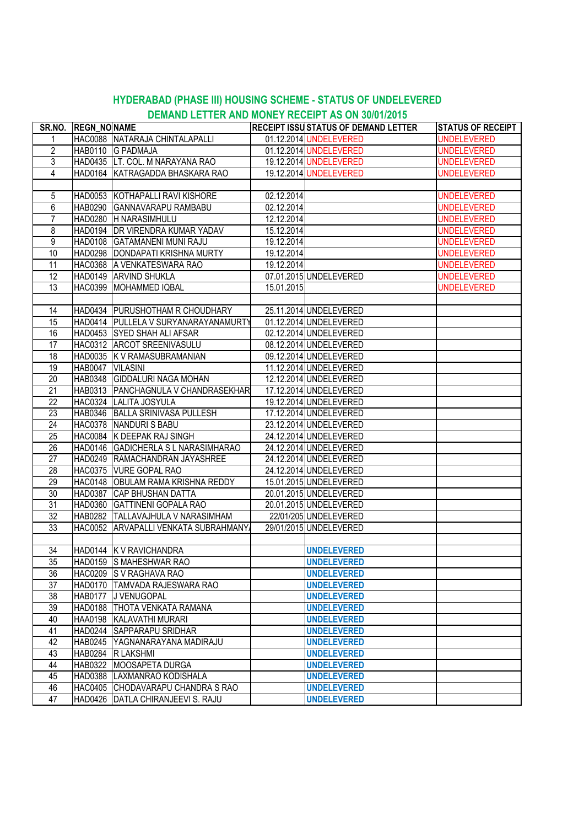## **DEMAND LETTER AND MONEY RECEIPT AS ON 30/01/2015 HYDERABAD (PHASE III) HOUSING SCHEME - STATUS OF UNDELEVERED**

| SR.NO.          | <b>REGN_NONAME</b> |                                      |            | <b>RECEIPT ISSUSTATUS OF DEMAND LETTER</b> | <b>STATUS OF RECEIPT</b> |
|-----------------|--------------------|--------------------------------------|------------|--------------------------------------------|--------------------------|
| 1               |                    | HAC0088 NATARAJA CHINTALAPALLI       |            | 01.12.2014 UNDELEVERED                     | <b>UNDELEVERED</b>       |
| $\overline{2}$  |                    | HAB0110 G PADMAJA                    |            | 01.12.2014 UNDELEVERED                     | <b>UNDELEVERED</b>       |
| 3               |                    | HAD0435 LT. COL. M NARAYANA RAO      |            | 19.12.2014 UNDELEVERED                     | <b>UNDELEVERED</b>       |
| $\overline{4}$  |                    | HAD0164 KATRAGADDA BHASKARA RAO      |            | 19.12.2014 UNDELEVERED                     | <b>UNDELEVERED</b>       |
|                 |                    |                                      |            |                                            |                          |
| 5               |                    | HAD0053 KOTHAPALLI RAVI KISHORE      | 02.12.2014 |                                            | <b>UNDELEVERED</b>       |
| 6               |                    | HAB0290 GANNAVARAPU RAMBABU          | 02.12.2014 |                                            | <b>UNDELEVERED</b>       |
| $\overline{7}$  |                    | HAD0280 H NARASIMHULU                | 12.12.2014 |                                            | <b>UNDELEVERED</b>       |
| 8               |                    | HAD0194 DR VIRENDRA KUMAR YADAV      | 15.12.2014 |                                            | <b>UNDELEVERED</b>       |
| 9               |                    | HAD0108 GATAMANENI MUNI RAJU         | 19.12.2014 |                                            | <b>UNDELEVERED</b>       |
| 10              |                    | HAD0298   DONDAPATI KRISHNA MURTY    | 19.12.2014 |                                            | <b>UNDELEVERED</b>       |
| 11              |                    | HAC0368 A VENKATESWARA RAO           | 19.12.2014 |                                            | <b>UNDELEVERED</b>       |
| 12              |                    | HAD0149 ARVIND SHUKLA                |            | 07.01.2015 UNDELEVERED                     | <b>UNDELEVERED</b>       |
| 13              |                    | HAC0399 MOHAMMED IQBAL               | 15.01.2015 |                                            | <b>UNDELEVERED</b>       |
|                 |                    |                                      |            |                                            |                          |
| 14              |                    | HAD0434 PURUSHOTHAM R CHOUDHARY      |            | 25.11.2014 UNDELEVERED                     |                          |
| 15              |                    | HAD0414 PULLELA V SURYANARAYANAMURTY |            | 01.12.2014 UNDELEVERED                     |                          |
| 16              |                    | HAD0453 SYED SHAH ALI AFSAR          |            | 02.12.2014 UNDELEVERED                     |                          |
| 17              |                    | HAC0312 ARCOT SREENIVASULU           |            | 08.12.2014 UNDELEVERED                     |                          |
| 18              |                    | HAD0035 K V RAMASUBRAMANIAN          |            | 09.12.2014 UNDELEVERED                     |                          |
| 19              | HAB0047 VILASINI   |                                      |            | 11.12.2014 UNDELEVERED                     |                          |
| 20              |                    | HAB0348 GIDDALURI NAGA MOHAN         |            | 12.12.2014 UNDELEVERED                     |                          |
| 21              |                    | HAB0313 PANCHAGNULA V CHANDRASEKHAR  |            | 17.12.2014 UNDELEVERED                     |                          |
| 22              |                    | HAC0324 LALITA JOSYULA               |            | 19.12.2014 UNDELEVERED                     |                          |
| 23              |                    | HAB0346 BALLA SRINIVASA PULLESH      |            | 17.12.2014 UNDELEVERED                     |                          |
| 24              |                    | HAC0378 NANDURIS BABU                |            | 23.12.2014 UNDELEVERED                     |                          |
| 25              |                    | HAC0084 K DEEPAK RAJ SINGH           |            | 24.12.2014 UNDELEVERED                     |                          |
| $\overline{26}$ |                    | HAD0146 GADICHERLA S L NARASIMHARAO  |            | 24.12.2014 UNDELEVERED                     |                          |
| 27              |                    | HAD0249 RAMACHANDRAN JAYASHREE       |            | 24.12.2014 UNDELEVERED                     |                          |
| 28              |                    | HAC0375 VURE GOPAL RAO               |            | 24.12.2014 UNDELEVERED                     |                          |
| 29              |                    | HAC0148 OBULAM RAMA KRISHNA REDDY    |            | 15.01.2015 UNDELEVERED                     |                          |
| 30              |                    | HAD0387 CAP BHUSHAN DATTA            |            | 20.01.2015 UNDELEVERED                     |                          |
| 31              |                    | HAD0360 GATTINENI GOPALA RAO         |            | 20.01.2015 UNDELEVERED                     |                          |
| 32              |                    | HAB0282 TALLAVAJHULA V NARASIMHAM    |            | 22/01/205 UNDELEVERED                      |                          |
| 33              |                    | HAC0052 ARVAPALLI VENKATA SUBRAHMANY |            | 29/01/2015 UNDELEVERED                     |                          |
|                 |                    |                                      |            |                                            |                          |
| 34              |                    | HAD0144 K V RAVICHANDRA              |            | <b>UNDELEVERED</b>                         |                          |
| 35              |                    | HAD0159 S MAHESHWAR RAO              |            | <b>UNDELEVERED</b>                         |                          |
| 36              |                    | HAC0209 S V RAGHAVA RAO              |            | <b>UNDELEVERED</b>                         |                          |
| 37              |                    | IHAD0170  ITAMVADA RAJESWARA RAO     |            | <b>UNDELEVERED</b>                         |                          |
| 38              |                    | HAB0177 J VENUGOPAL                  |            | <b>UNDELEVERED</b>                         |                          |
| 39              |                    | HAD0188 THOTA VENKATA RAMANA         |            | <b>UNDELEVERED</b>                         |                          |
| 40              |                    | HAA0198 KALAVATHI MURARI             |            | <b>UNDELEVERED</b>                         |                          |
| 41              |                    | HAD0244 SAPPARAPU SRIDHAR            |            | <b>UNDELEVERED</b>                         |                          |
| 42              |                    | HAB0245 YAGNANARAYANA MADIRAJU       |            | <b>UNDELEVERED</b>                         |                          |
| 43              |                    | HAB0284 R LAKSHMI                    |            | <b>UNDELEVERED</b>                         |                          |
| 44              |                    | HAB0322 MOOSAPETA DURGA              |            | <b>UNDELEVERED</b>                         |                          |
| 45              |                    | HAD0388 LAXMANRAO KODISHALA          |            | <b>UNDELEVERED</b>                         |                          |
| 46              |                    | HAC0405 CHODAVARAPU CHANDRA S RAO    |            | <b>UNDELEVERED</b>                         |                          |
| 47              |                    | HAD0426 DATLA CHIRANJEEVI S. RAJU    |            | <b>UNDELEVERED</b>                         |                          |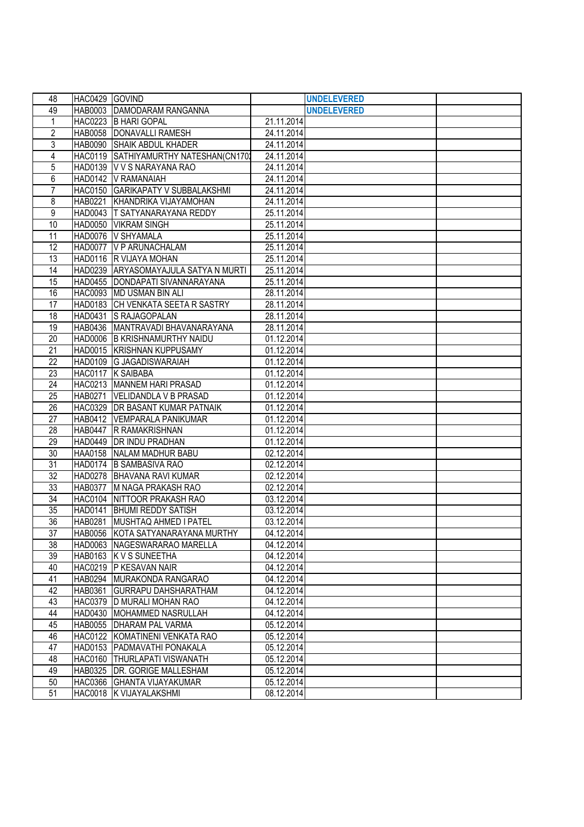| 48              | HAC0429 GOVIND |                                       |            | <b>UNDELEVERED</b> |  |
|-----------------|----------------|---------------------------------------|------------|--------------------|--|
| 49              |                | HAB0003 DAMODARAM RANGANNA            |            | <b>UNDELEVERED</b> |  |
| 1               |                | HAC0223 B HARI GOPAL                  | 21.11.2014 |                    |  |
| $\overline{c}$  | <b>HAB0058</b> | DONAVALLI RAMESH                      | 24.11.2014 |                    |  |
| 3               | <b>HAB0090</b> | <b>SHAIK ABDUL KHADER</b>             | 24.11.2014 |                    |  |
| 4               |                | HAC0119 SATHIYAMURTHY NATESHAN(CN1701 | 24.11.2014 |                    |  |
| 5               |                | HAD0139 V V S NARAYANA RAO            | 24.11.2014 |                    |  |
| 6               |                | HAD0142 V RAMANAIAH                   | 24.11.2014 |                    |  |
| 7               |                | HAC0150 GARIKAPATY V SUBBALAKSHMI     | 24.11.2014 |                    |  |
| 8               | <b>HAB0221</b> | KHANDRIKA VIJAYAMOHAN                 | 24.11.2014 |                    |  |
| 9               |                | HAD0043   T SATYANARAYANA REDDY       | 25.11.2014 |                    |  |
| 10              |                | HAD0050 VIKRAM SINGH                  | 25.11.2014 |                    |  |
| 11              |                | HAD0076 V SHYAMALA                    | 25.11.2014 |                    |  |
| 12              |                | HAD0077 V P ARUNACHALAM               | 25.11.2014 |                    |  |
| 13              |                | HAD0116 R VIJAYA MOHAN                | 25.11.2014 |                    |  |
| 14              |                | HAD0239 ARYASOMAYAJULA SATYA N MURTI  | 25.11.2014 |                    |  |
| 15              |                | HAD0455 DONDAPATI SIVANNARAYANA       | 25.11.2014 |                    |  |
| 16              |                | HAC0093 MD USMAN BIN ALI              | 28.11.2014 |                    |  |
| 17              |                | HAD0183 CH VENKATA SEETA R SASTRY     | 28.11.2014 |                    |  |
| 18              | <b>HAD0431</b> | <b>S RAJAGOPALAN</b>                  | 28.11.2014 |                    |  |
| 19              | <b>HAB0436</b> | MANTRAVADI BHAVANARAYANA              | 28.11.2014 |                    |  |
| $\overline{20}$ |                | HAD0006 B KRISHNAMURTHY NAIDU         | 01.12.2014 |                    |  |
| 21              |                | HAD0015 KRISHNAN KUPPUSAMY            | 01.12.2014 |                    |  |
| 22              |                | HAD0109 G JAGADISWARAIAH              | 01.12.2014 |                    |  |
| 23              |                | HAC0117 K SAIBABA                     | 01.12.2014 |                    |  |
| 24              |                | HAC0213 MANNEM HARI PRASAD            | 01.12.2014 |                    |  |
| 25              | <b>HAB0271</b> | VELIDANDLA V B PRASAD                 | 01.12.2014 |                    |  |
| 26              |                | HAC0329 DR BASANT KUMAR PATNAIK       | 01.12.2014 |                    |  |
| 27              |                | HAB0412   VEMPARALA PANIKUMAR         | 01.12.2014 |                    |  |
| 28              | <b>HAB0447</b> | <b>R RAMAKRISHNAN</b>                 | 01.12.2014 |                    |  |
| 29              |                | HAD0449 DR INDU PRADHAN               | 01.12.2014 |                    |  |
| 30              |                | HAA0158 NALAM MADHUR BABU             | 02.12.2014 |                    |  |
| 31              |                | HAD0174 B SAMBASIVA RAO               | 02.12.2014 |                    |  |
| 32              |                | HAD0278 BHAVANA RAVI KUMAR            | 02.12.2014 |                    |  |
| 33              | <b>HAB0377</b> | M NAGA PRAKASH RAO                    | 02.12.2014 |                    |  |
| 34              |                | HAC0104 NITTOOR PRAKASH RAO           | 03.12.2014 |                    |  |
| 35              |                | HAD0141   BHUMI REDDY SATISH          | 03.12.2014 |                    |  |
| 36              | <b>HAB0281</b> | MUSHTAQ AHMED I PATEL                 | 03.12.2014 |                    |  |
| 37              |                | HAB0056 KOTA SATYANARAYANA MURTHY     | 04.12.2014 |                    |  |
| 38              |                | HAD0063 NAGESWARARAO MARELLA          | 04.12.2014 |                    |  |
| 39              |                | HAB0163 K V S SUNEETHA                | 04.12.2014 |                    |  |
| 40              |                | HAC0219 P KESAVAN NAIR                | 04.12.2014 |                    |  |
| 41              | <b>HAB0294</b> | MURAKONDA RANGARAO                    | 04.12.2014 |                    |  |
| 42              | <b>HAB0361</b> | <b>GURRAPU DAHSHARATHAM</b>           | 04.12.2014 |                    |  |
| 43              |                | HAC0379  D MURALI MOHAN RAO           | 04.12.2014 |                    |  |
| 44              |                | HAD0430 MOHAMMED NASRULLAH            | 04.12.2014 |                    |  |
| 45              |                | HAB0055 DHARAM PAL VARMA              | 05.12.2014 |                    |  |
| 46              |                | HAC0122 KOMATINENI VENKATA RAO        | 05.12.2014 |                    |  |
| 47              |                | HAD0153 PADMAVATHI PONAKALA           | 05.12.2014 |                    |  |
| 48              |                | HAC0160 THURLAPATI VISWANATH          | 05.12.2014 |                    |  |
| 49              |                | HAB0325   DR. GORIGE MALLESHAM        | 05.12.2014 |                    |  |
| 50              |                | HAC0366 GHANTA VIJAYAKUMAR            | 05.12.2014 |                    |  |
| 51              |                | HAC0018 K VIJAYALAKSHMI               | 08.12.2014 |                    |  |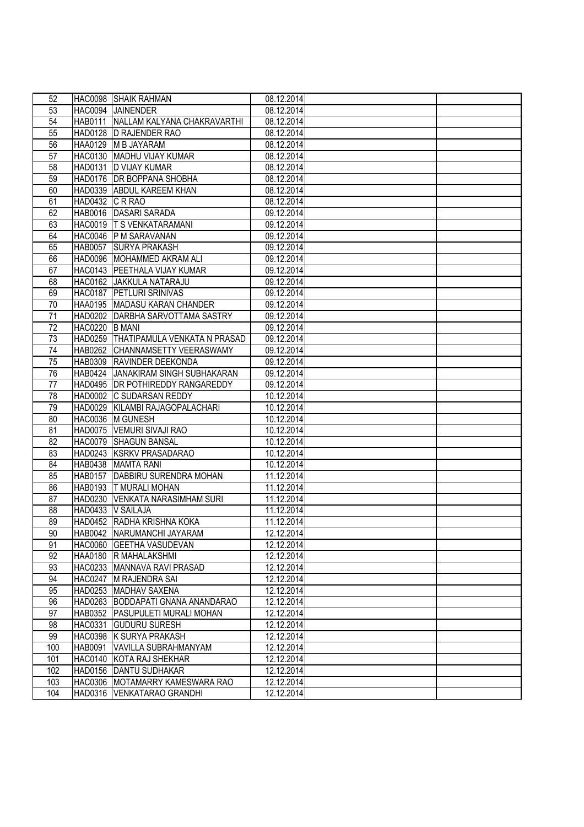| 52              |                 | HAC0098 SHAIK RAHMAN                 | 08.12.2014 |  |
|-----------------|-----------------|--------------------------------------|------------|--|
| 53              |                 | HAC0094 JAINENDER                    | 08.12.2014 |  |
| 54              | <b>HAB0111</b>  | NALLAM KALYANA CHAKRAVARTHI          | 08.12.2014 |  |
| 55              | HAD0128         | <b>D RAJENDER RAO</b>                | 08.12.2014 |  |
| 56              | HAA0129         | <b>M B JAYARAM</b>                   | 08.12.2014 |  |
| 57              |                 | HAC0130 MADHU VIJAY KUMAR            | 08.12.2014 |  |
| 58              |                 | HAD0131  D VIJAY KUMAR               | 08.12.2014 |  |
| 59              |                 | HAD0176 DR BOPPANA SHOBHA            | 08.12.2014 |  |
| 60              |                 | HAD0339 ABDUL KAREEM KHAN            | 08.12.2014 |  |
| 61              | HAD0432 C R RAO |                                      | 08.12.2014 |  |
| 62              |                 | HAB0016 DASARI SARADA                | 09.12.2014 |  |
| 63              |                 | HAC0019 T S VENKATARAMANI            | 09.12.2014 |  |
| 64              |                 | HAC0046 P M SARAVANAN                | 09.12.2014 |  |
| 65              | <b>HAB0057</b>  | <b>SURYA PRAKASH</b>                 | 09.12.2014 |  |
| 66              |                 | HAD0096 MOHAMMED AKRAM ALI           | 09.12.2014 |  |
| 67              |                 | HAC0143   PEETHALA VIJAY KUMAR       | 09.12.2014 |  |
| 68              |                 | HAC0162 JAKKULA NATARAJU             | 09.12.2014 |  |
| 69              | <b>HAC0187</b>  | <b>PETLURI SRINIVAS</b>              | 09.12.2014 |  |
| 70              | <b>HAA0195</b>  | MADASU KARAN CHANDER                 | 09.12.2014 |  |
| 71              |                 | HAD0202 DARBHA SARVOTTAMA SASTRY     | 09.12.2014 |  |
| 72              | <b>HAC0220</b>  | <b>B MANI</b>                        | 09.12.2014 |  |
| $\overline{73}$ |                 | HAD0259 THATIPAMULA VENKATA N PRASAD | 09.12.2014 |  |
| 74              | <b>HAB0262</b>  | <b>ICHANNAMSETTY VEERASWAMY</b>      | 09.12.2014 |  |
| 75              | <b>HAB0309</b>  | <b>RAVINDER DEEKONDA</b>             | 09.12.2014 |  |
| 76              |                 | HAB0424 JANAKIRAM SINGH SUBHAKARAN   | 09.12.2014 |  |
| 77              |                 | HAD0495   DR POTHIREDDY RANGAREDDY   | 09.12.2014 |  |
| 78              |                 | HAD0002 C SUDARSAN REDDY             | 10.12.2014 |  |
| 79              |                 | HAD0029 KILAMBI RAJAGOPALACHARI      | 10.12.2014 |  |
| 80              |                 | HAC0036 M GUNESH                     | 10.12.2014 |  |
| 81              |                 | HAD0075   VEMURI SIVAJI RAO          | 10.12.2014 |  |
| 82              |                 | HAC0079 SHAGUN BANSAL                | 10.12.2014 |  |
| 83              |                 | HAD0243 KSRKV PRASADARAO             | 10.12.2014 |  |
| 84              |                 | HAB0438 MAMTA RANI                   | 10.12.2014 |  |
| 85              | <b>HAB0157</b>  | DABBIRU SURENDRA MOHAN               | 11.12.2014 |  |
| 86              | <b>HAB0193</b>  | <b>T MURALI MOHAN</b>                | 11.12.2014 |  |
| 87              |                 | HAD0230 VENKATA NARASIMHAM SURI      | 11.12.2014 |  |
| 88              |                 | HAD0433 V SAILAJA                    | 11.12.2014 |  |
| 89              |                 | HAD0452 RADHA KRISHNA KOKA           | 11.12.2014 |  |
| 90              |                 | HAB0042 NARUMANCHI JAYARAM           | 12.12.2014 |  |
| 91              |                 | HAC0060 GEETHA VASUDEVAN             | 12.12.2014 |  |
| 92              |                 | HAA0180 R MAHALAKSHMI                | 12.12.2014 |  |
| 93              |                 | HAC0233 MANNAVA RAVI PRASAD          | 12.12.2014 |  |
| 94              |                 | HAC0247 M RAJENDRA SAI               | 12.12.2014 |  |
| 95              |                 | HAD0253 MADHAV SAXENA                | 12.12.2014 |  |
| 96              |                 | HAD0263 BODDAPATI GNANA ANANDARAO    | 12.12.2014 |  |
| 97              |                 | HAB0352 PASUPULETI MURALI MOHAN      | 12.12.2014 |  |
| 98              | <b>HAC0331</b>  | <b>GUDURU SURESH</b>                 | 12.12.2014 |  |
| 99              |                 | HAC0398 K SURYA PRAKASH              | 12.12.2014 |  |
| 100             | <b>HAB0091</b>  | VAVILLA SUBRAHMANYAM                 | 12.12.2014 |  |
| 101             |                 | HAC0140 KOTA RAJ SHEKHAR             | 12.12.2014 |  |
| 102             |                 | HAD0156 DANTU SUDHAKAR               | 12.12.2014 |  |
| 103             |                 | HAC0306 MOTAMARRY KAMESWARA RAO      | 12.12.2014 |  |
| 104             |                 | HAD0316 VENKATARAO GRANDHI           | 12.12.2014 |  |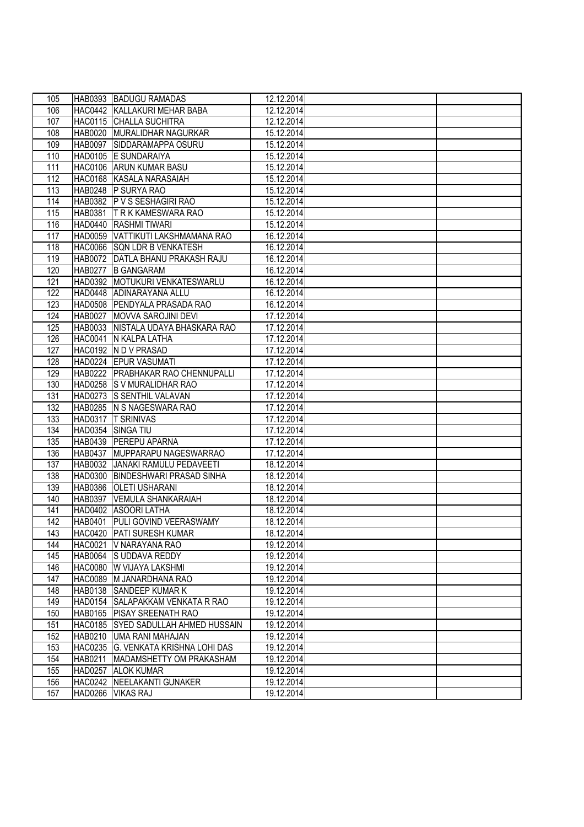| 105 |                | HAB0393 BADUGU RAMADAS              | 12.12.2014 |  |
|-----|----------------|-------------------------------------|------------|--|
| 106 |                | HAC0442 KALLAKURI MEHAR BABA        | 12.12.2014 |  |
| 107 |                | HAC0115 CHALLA SUCHITRA             | 12.12.2014 |  |
| 108 |                | HAB0020 MURALIDHAR NAGURKAR         | 15.12.2014 |  |
| 109 |                | HAB0097 SIDDARAMAPPA OSURU          | 15.12.2014 |  |
| 110 |                | HAD0105 E SUNDARAIYA                | 15.12.2014 |  |
| 111 |                | HAC0106 ARUN KUMAR BASU             | 15.12.2014 |  |
| 112 |                | HAC0168 KASALA NARASAIAH            | 15.12.2014 |  |
| 113 |                | HAB0248 P SURYA RAO                 | 15.12.2014 |  |
| 114 |                | HAB0382 P V S SESHAGIRI RAO         | 15.12.2014 |  |
| 115 |                | HAB0381 IT R K KAMESWARA RAO        | 15.12.2014 |  |
| 116 |                | HAD0440 RASHMI TIWARI               | 15.12.2014 |  |
| 117 |                | HAD0059 VATTIKUTI LAKSHMAMANA RAO   | 16.12.2014 |  |
| 118 |                | HAC0066 SQN LDR B VENKATESH         | 16.12.2014 |  |
| 119 |                | HAB0072 DATLA BHANU PRAKASH RAJU    | 16.12.2014 |  |
| 120 |                | HAB0277 B GANGARAM                  | 16.12.2014 |  |
| 121 |                | HAD0392 MOTUKURI VENKATESWARLU      | 16.12.2014 |  |
| 122 |                | HAD0448 ADINARAYANA ALLU            | 16.12.2014 |  |
| 123 |                | HAD0508 PENDYALA PRASADA RAO        | 16.12.2014 |  |
| 124 |                | HAB0027 MOVVA SAROJINI DEVI         | 17.12.2014 |  |
| 125 |                | HAB0033 NISTALA UDAYA BHASKARA RAO  | 17.12.2014 |  |
| 126 | <b>HAC0041</b> | N KALPA LATHA                       | 17.12.2014 |  |
| 127 |                | HAC0192 IN D V PRASAD               | 17.12.2014 |  |
| 128 |                | HAD0224 EPUR VASUMATI               | 17.12.2014 |  |
| 129 |                | HAB0222   PRABHAKAR RAO CHENNUPALLI | 17.12.2014 |  |
| 130 |                | HAD0258 S V MURALIDHAR RAO          | 17.12.2014 |  |
| 131 |                | HAD0273 S SENTHIL VALAVAN           | 17.12.2014 |  |
| 132 |                | HAB0285 N S NAGESWARA RAO           | 17.12.2014 |  |
| 133 |                | HAD0317  T SRINIVAS                 | 17.12.2014 |  |
| 134 |                | HAD0354 SINGA TIU                   | 17.12.2014 |  |
| 135 |                | HAB0439 PEREPU APARNA               | 17.12.2014 |  |
| 136 |                | HAB0437 MUPPARAPU NAGESWARRAO       | 17.12.2014 |  |
| 137 |                | HAB0032 JANAKI RAMULU PEDAVEETI     | 18.12.2014 |  |
| 138 |                | HAD0300 BINDESHWARI PRASAD SINHA    | 18.12.2014 |  |
| 139 | <b>HAB0386</b> | <b>OLETI USHARANI</b>               | 18.12.2014 |  |
| 140 | <b>HAB0397</b> | <b>VEMULA SHANKARAIAH</b>           | 18.12.2014 |  |
| 141 |                | HAD0402 ASOORI LATHA                | 18.12.2014 |  |
| 142 |                | HAB0401 PULI GOVIND VEERASWAMY      | 18.12.2014 |  |
| 143 |                | HAC0420 PATI SURESH KUMAR           | 18.12.2014 |  |
| 144 | <b>HAC0021</b> | V NARAYANA RAO                      | 19.12.2014 |  |
| 145 |                | HAB0064 S UDDAVA REDDY              | 19.12.2014 |  |
| 146 |                | HAC0080 W VIJAYA LAKSHMI            | 19.12.2014 |  |
| 147 |                | HAC0089 M JANARDHANA RAO            | 19.12.2014 |  |
| 148 |                | HAB0138 SANDEEP KUMAR K             | 19.12.2014 |  |
| 149 |                | HAD0154 SALAPAKKAM VENKATA R RAO    | 19.12.2014 |  |
| 150 |                | HAB0165 PISAY SREENATH RAO          | 19.12.2014 |  |
| 151 |                | HAC0185 SYED SADULLAH AHMED HUSSAIN | 19.12.2014 |  |
| 152 |                | HAB0210 UMA RANI MAHAJAN            | 19.12.2014 |  |
| 153 |                | HAC0235 G. VENKATA KRISHNA LOHI DAS | 19.12.2014 |  |
| 154 |                | HAB0211   MADAMSHETTY OM PRAKASHAM  | 19.12.2014 |  |
| 155 |                | HAD0257 ALOK KUMAR                  | 19.12.2014 |  |
| 156 |                | HAC0242   NEELAKANTI GUNAKER        | 19.12.2014 |  |
| 157 |                | HAD0266 VIKAS RAJ                   | 19.12.2014 |  |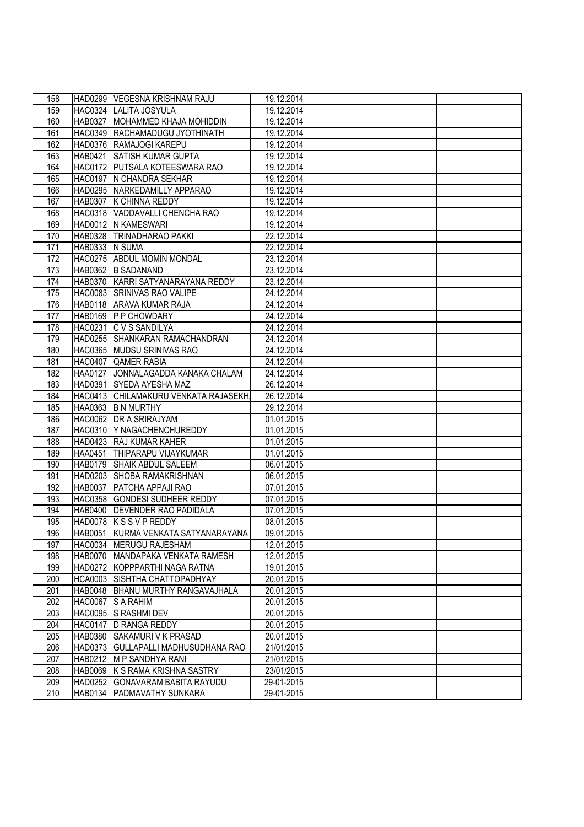| 158 |                | HAD0299 VEGESNA KRISHNAM RAJU        | 19.12.2014 |  |
|-----|----------------|--------------------------------------|------------|--|
| 159 |                | HAC0324 LALITA JOSYULA               | 19.12.2014 |  |
| 160 | <b>HAB0327</b> | MOHAMMED KHAJA MOHIDDIN              | 19.12.2014 |  |
| 161 |                | HAC0349 RACHAMADUGU JYOTHINATH       | 19.12.2014 |  |
| 162 |                | HAD0376 RAMAJOGI KAREPU              | 19.12.2014 |  |
| 163 |                | HAB0421 SATISH KUMAR GUPTA           | 19.12.2014 |  |
| 164 |                | HAC0172 PUTSALA KOTEESWARA RAO       | 19.12.2014 |  |
| 165 |                | HAC0197 IN CHANDRA SEKHAR            | 19.12.2014 |  |
| 166 |                | HAD0295 NARKEDAMILLY APPARAO         | 19.12.2014 |  |
| 167 |                | HAB0307 K CHINNA REDDY               | 19.12.2014 |  |
| 168 |                | HAC0318 VADDAVALLI CHENCHA RAO       | 19.12.2014 |  |
| 169 |                | HAD0012 IN KAMESWARI                 | 19.12.2014 |  |
| 170 |                | HAB0328   TRINADHARAO PAKKI          | 22.12.2014 |  |
| 171 | HAB0333 N SUMA |                                      | 22.12.2014 |  |
| 172 |                | HAC0275 ABDUL MOMIN MONDAL           | 23.12.2014 |  |
| 173 |                | HAB0362 B SADANAND                   | 23.12.2014 |  |
| 174 |                | HAB0370 KARRI SATYANARAYANA REDDY    | 23.12.2014 |  |
| 175 |                | HAC0083 SRINIVAS RAO VALIPE          | 24.12.2014 |  |
| 176 |                | HAB0118 ARAVA KUMAR RAJA             | 24.12.2014 |  |
| 177 |                | HAB0169 P P CHOWDARY                 | 24.12.2014 |  |
| 178 | <b>HAC0231</b> | <b>C V S SANDILYA</b>                | 24.12.2014 |  |
| 179 |                | HAD0255 SHANKARAN RAMACHANDRAN       | 24.12.2014 |  |
| 180 |                | HAC0365 MUDSU SRINIVAS RAO           | 24.12.2014 |  |
| 181 |                | HAC0407 QAMER RABIA                  | 24.12.2014 |  |
| 182 | <b>HAA0127</b> | JONNALAGADDA KANAKA CHALAM           | 24.12.2014 |  |
| 183 |                | HAD0391 SYEDA AYESHA MAZ             | 26.12.2014 |  |
| 184 |                | HAC0413 CHILAMAKURU VENKATA RAJASEKH | 26.12.2014 |  |
| 185 |                | HAA0363 B N MURTHY                   | 29.12.2014 |  |
| 186 |                | HAC0062 DR A SRIRAJYAM               | 01.01.2015 |  |
| 187 |                | HAC0310 Y NAGACHENCHUREDDY           | 01.01.2015 |  |
| 188 |                | HAD0423 RAJ KUMAR KAHER              | 01.01.2015 |  |
| 189 | <b>HAA0451</b> | THIPARAPU VIJAYKUMAR                 | 01.01.2015 |  |
| 190 |                | HAB0179 SHAIK ABDUL SALEEM           | 06.01.2015 |  |
| 191 |                | HAD0203 SHOBA RAMAKRISHNAN           | 06.01.2015 |  |
| 192 |                | HAB0037 PATCHA APPAJI RAO            | 07.01.2015 |  |
| 193 |                | HAC0358 GONDESI SUDHEER REDDY        | 07.01.2015 |  |
| 194 |                | HAB0400 DEVENDER RAO PADIDALA        | 07.01.2015 |  |
| 195 |                | HAD0078 K S S V P REDDY              | 08.01.2015 |  |
| 196 |                | HAB0051 KURMA VENKATA SATYANARAYANA  | 09.01.2015 |  |
| 197 |                | HAC0034 MERUGU RAJESHAM              | 12.01.2015 |  |
| 198 |                | HAB0070 MANDAPAKA VENKATA RAMESH     | 12.01.2015 |  |
| 199 |                | HAD0272 KOPPPARTHI NAGA RATNA        | 19.01.2015 |  |
| 200 |                | HCA0003 SISHTHA CHATTOPADHYAY        | 20.01.2015 |  |
| 201 |                | HAB0048   BHANU MURTHY RANGAVAJHALA  | 20.01.2015 |  |
| 202 |                | HAC0067 S A RAHIM                    | 20.01.2015 |  |
| 203 |                | HAC0095 S RASHMI DEV                 | 20.01.2015 |  |
| 204 |                | HAC0147 D RANGA REDDY                | 20.01.2015 |  |
| 205 |                | HAB0380 SAKAMURI V K PRASAD          | 20.01.2015 |  |
| 206 |                | HAD0373 GULLAPALLI MADHUSUDHANA RAO  | 21/01/2015 |  |
| 207 |                | HAB0212 M P SANDHYA RANI             | 21/01/2015 |  |
| 208 |                | HAB0069 K S RAMA KRISHNA SASTRY      | 23/01/2015 |  |
| 209 |                | HAD0252 GONAVARAM BABITA RAYUDU      | 29-01-2015 |  |
| 210 |                | HAB0134 PADMAVATHY SUNKARA           | 29-01-2015 |  |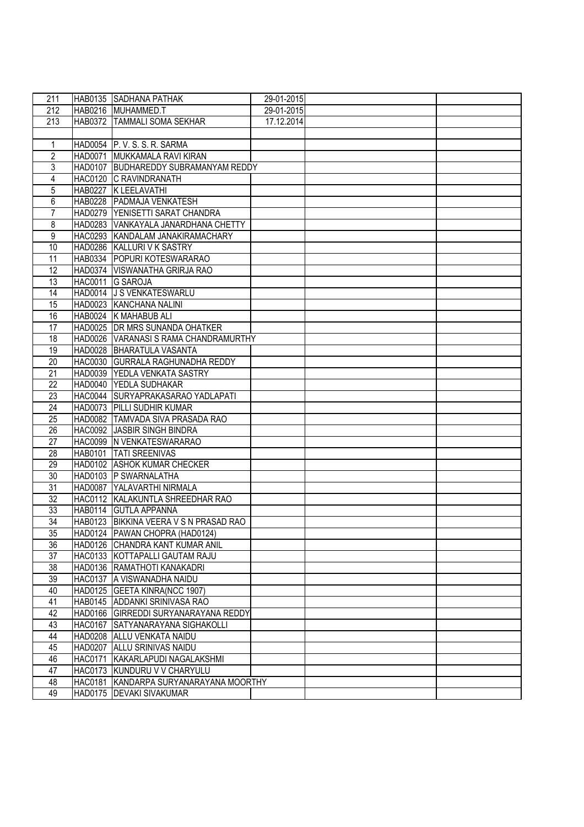| 211 | HAB0135 SADHANA PATHAK                 | 29-01-2015 |  |
|-----|----------------------------------------|------------|--|
| 212 | HAB0216 MUHAMMED.T                     | 29-01-2015 |  |
| 213 | HAB0372 TAMMALI SOMA SEKHAR            | 17.12.2014 |  |
|     |                                        |            |  |
| 1   | HAD0054 P. V. S. S. R. SARMA           |            |  |
| 2   | HAD0071 MUKKAMALA RAVI KIRAN           |            |  |
| 3   | HAD0107 BUDHAREDDY SUBRAMANYAM REDDY   |            |  |
| 4   | HAC0120 C RAVINDRANATH                 |            |  |
| 5   | HAB0227 K LEELAVATHI                   |            |  |
| 6   | HAB0228 PADMAJA VENKATESH              |            |  |
| 7   | HAD0279 YENISETTI SARAT CHANDRA        |            |  |
| 8   | HAD0283 VANKAYALA JANARDHANA CHETTY    |            |  |
| 9   | HAC0293 KANDALAM JANAKIRAMACHARY       |            |  |
| 10  | HAD0286 KALLURI V K SASTRY             |            |  |
| 11  | HAB0334   POPURI KOTESWARARAO          |            |  |
| 12  | HAD0374 VISWANATHA GRIRJA RAO          |            |  |
| 13  | HAC0011 G SAROJA                       |            |  |
| 14  | HAD0014 J S VENKATESWARLU              |            |  |
| 15  | HAD0023 KANCHANA NALINI                |            |  |
| 16  | HAB0024 K MAHABUB ALI                  |            |  |
| 17  | HAD0025 DR MRS SUNANDA OHATKER         |            |  |
| 18  | HAD0026 VARANASIS RAMA CHANDRAMURTHY   |            |  |
| 19  | HAD0028 BHARATULA VASANTA              |            |  |
| 20  | HAC0030 GURRALA RAGHUNADHA REDDY       |            |  |
| 21  | HAD0039 YEDLA VENKATA SASTRY           |            |  |
| 22  | HAD0040 YEDLA SUDHAKAR                 |            |  |
| 23  | HAC0044 SURYAPRAKASARAO YADLAPATI      |            |  |
| 24  | HAD0073 PILLI SUDHIR KUMAR             |            |  |
| 25  | HAD0082 TAMVADA SIVA PRASADA RAO       |            |  |
| 26  | HAC0092 JASBIR SINGH BINDRA            |            |  |
| 27  | HAC0099 IN VENKATESWARARAO             |            |  |
| 28  | HAB0101   TATI SREENIVAS               |            |  |
| 29  | HAD0102 ASHOK KUMAR CHECKER            |            |  |
| 30  | HAD0103 P SWARNALATHA                  |            |  |
| 31  | HAD0087 YALAVARTHI NIRMALA             |            |  |
| 32  | HAC0112 KALAKUNTLA SHREEDHAR RAO       |            |  |
| 33  | HAB0114 GUTLA APPANNA                  |            |  |
| 34  | HAB0123 BIKKINA VEERA V S N PRASAD RAO |            |  |
| 35  | HAD0124 PAWAN CHOPRA (HAD0124)         |            |  |
| 36  | HAD0126 CHANDRA KANT KUMAR ANIL        |            |  |
| 37  | HAC0133 KOTTAPALLI GAUTAM RAJU         |            |  |
| 38  | HAD0136 RAMATHOTI KANAKADRI            |            |  |
| 39  | HAC0137 A VISWANADHA NAIDU             |            |  |
| 40  | HAD0125 GEETA KINRA(NCC 1907)          |            |  |
| 41  | HAB0145 ADDANKI SRINIVASA RAO          |            |  |
| 42  | HAD0166 GIRREDDI SURYANARAYANA REDDY   |            |  |
| 43  | HAC0167 SATYANARAYANA SIGHAKOLLI       |            |  |
| 44  | HAD0208 ALLU VENKATA NAIDU             |            |  |
| 45  | HAD0207 ALLU SRINIVAS NAIDU            |            |  |
| 46  | HAC0171 KAKARLAPUDI NAGALAKSHMI        |            |  |
| 47  | HAC0173 KUNDURU V V CHARYULU           |            |  |
| 48  | HAC0181 KANDARPA SURYANARAYANA MOORTHY |            |  |
| 49  | HAD0175   DEVAKI SIVAKUMAR             |            |  |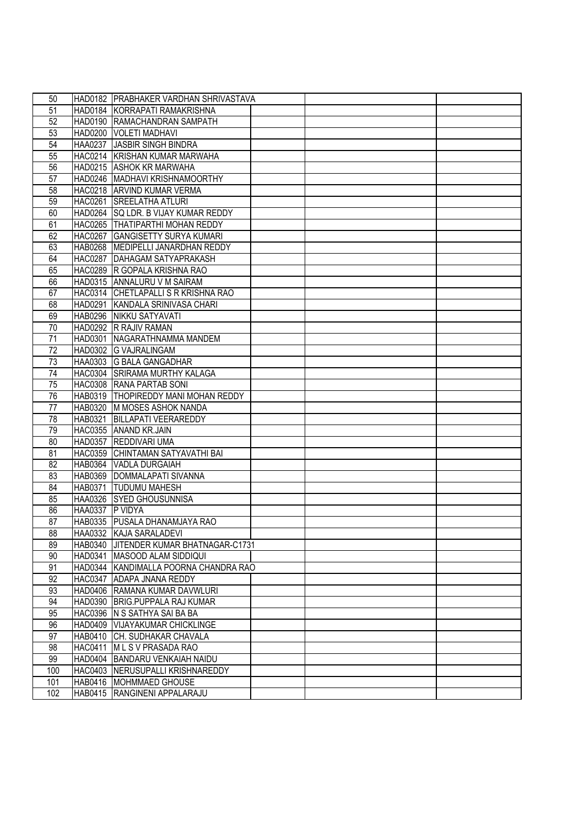| 50       |                 | HAD0182   PRABHAKER VARDHAN SHRIVASTAVA |
|----------|-----------------|-----------------------------------------|
| 51       |                 | HAD0184 KORRAPATI RAMAKRISHNA           |
| 52       |                 | HAD0190 RAMACHANDRAN SAMPATH            |
| 53       |                 | HAD0200 VOLETI MADHAVI                  |
| 54       |                 | HAA0237 JASBIR SINGH BINDRA             |
| 55       |                 | HAC0214 KRISHAN KUMAR MARWAHA           |
| 56       |                 | HAD0215 ASHOK KR MARWAHA                |
| 57       |                 | HAD0246 MADHAVI KRISHNAMOORTHY          |
|          |                 | HAC0218 ARVIND KUMAR VERMA              |
| 58<br>59 |                 | HAC0261 SREELATHA ATLURI                |
| 60       |                 | HAD0264 SQ LDR. B VIJAY KUMAR REDDY     |
| 61       |                 | HAC0265 THATIPARTHI MOHAN REDDY         |
| 62       |                 | HAC0267 GANGISETTY SURYA KUMARI         |
| 63       |                 | HAB0268 MEDIPELLI JANARDHAN REDDY       |
| 64       |                 | HAC0287 DAHAGAM SATYAPRAKASH            |
| 65       |                 | HAC0289 R GOPALA KRISHNA RAO            |
| 66       |                 | HAD0315 ANNALURU V M SAIRAM             |
| 67       |                 | HAC0314 CHETLAPALLIS R KRISHNA RAO      |
| 68       |                 | HAD0291 KANDALA SRINIVASA CHARI         |
| 69       |                 | HAB0296 NIKKU SATYAVATI                 |
| 70       |                 | HAD0292 R RAJIV RAMAN                   |
| 71       |                 | HAD0301 NAGARATHNAMMA MANDEM            |
| 72       |                 | HAD0302 G VAJRALINGAM                   |
| 73       |                 | HAA0303 G BALA GANGADHAR                |
| 74       |                 | HAC0304 SRIRAMA MURTHY KALAGA           |
| 75       |                 | HAC0308 RANA PARTAB SONI                |
| 76       |                 | HAB0319   THOPIREDDY MANI MOHAN REDDY   |
| 77       |                 | HAB0320 M MOSES ASHOK NANDA             |
| 78       |                 | HAB0321 BILLAPATI VEERAREDDY            |
| 79       |                 | HAC0355 ANAND KR.JAIN                   |
| 80       |                 | HAD0357 REDDIVARI UMA                   |
| 81       |                 | HAC0359 CHINTAMAN SATYAVATHI BAI        |
| 82       |                 | HAB0364 VADLA DURGAIAH                  |
| 83       |                 | HAB0369 DOMMALAPATI SIVANNA             |
| 84       | HAB0371         | <b>TUDUMU MAHESH</b>                    |
| 85       |                 | HAA0326 SYED GHOUSUNNISA                |
| 86       | HAA0337 P VIDYA |                                         |
| 87       |                 | HAB0335 PUSALA DHANAMJAYA RAO           |
| 88       |                 | HAA0332 KAJA SARALADEVI                 |
| 89       |                 | HAB0340 JJITENDER KUMAR BHATNAGAR-C1731 |
| 90       |                 | HAD0341 MASOOD ALAM SIDDIQUI            |
| 91       |                 | HAD0344 KANDIMALLA POORNA CHANDRA RAO   |
| 92       |                 | HAC0347 ADAPA JNANA REDDY               |
| 93       |                 | HAD0406 RAMANA KUMAR DAVWLURI           |
| 94       |                 | HAD0390 BRIG.PUPPALA RAJ KUMAR          |
| 95       |                 | HAC0396 N S SATHYA SAI BA BA            |
| 96       |                 | HAD0409 VIJAYAKUMAR CHICKLINGE          |
| 97       |                 | HAB0410 CH. SUDHAKAR CHAVALA            |
| 98       |                 | HAC0411 M L S V PRASADA RAO             |
| 99       |                 | HAD0404 BANDARU VENKAIAH NAIDU          |
| 100      |                 | HAC0403   NERUSUPALLI KRISHNAREDDY      |
| 101      |                 | HAB0416   MOHMMAED GHOUSE               |
| 102      |                 | HAB0415 RANGINENI APPALARAJU            |